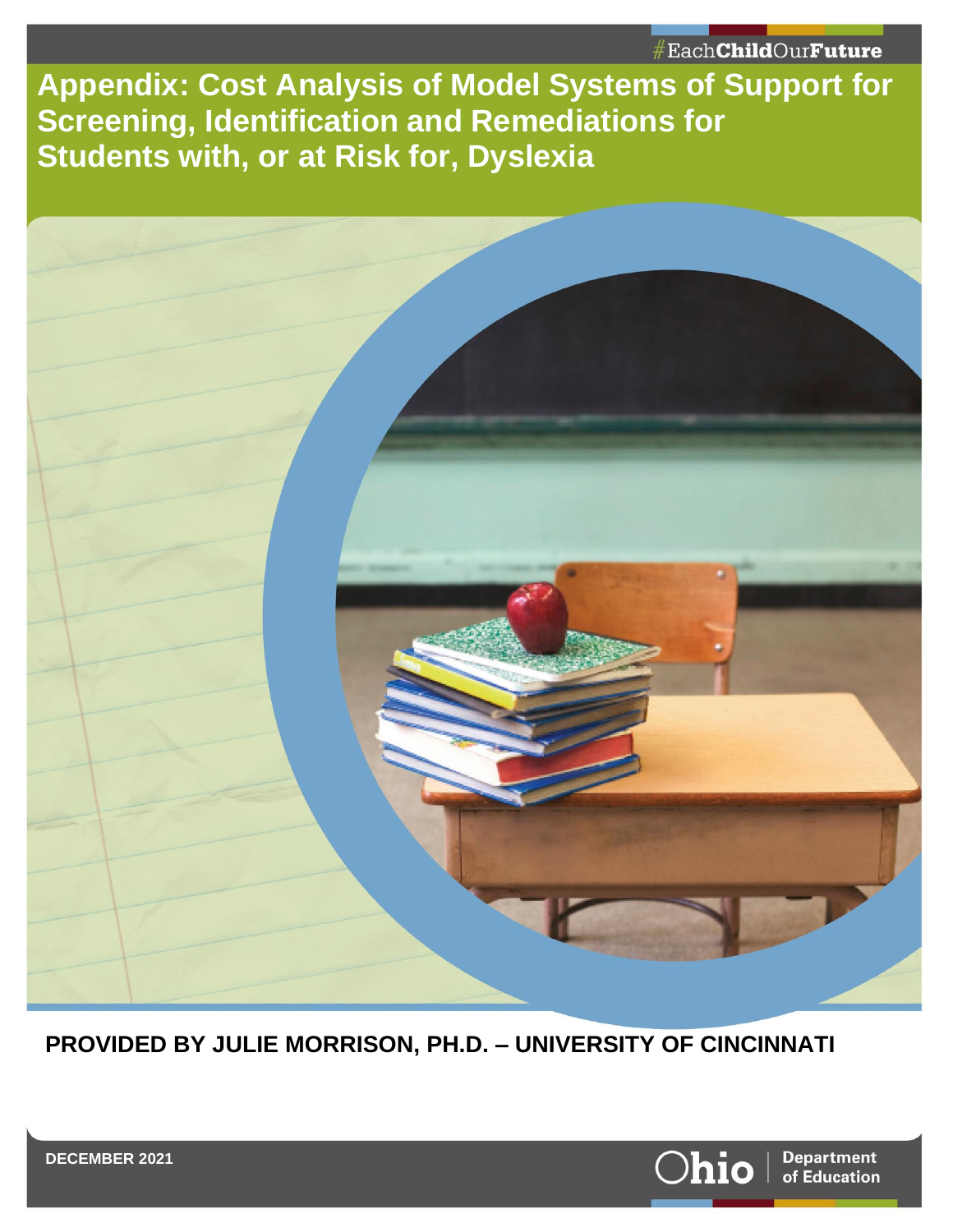**Appendix: Cost Analysis of Model Systems of Support for Screening, Identification and Remediations for Students with, or at Risk for, Dyslexia**



**PROVIDED BY JULIE MORRISON, PH.D. – UNIVERSITY OF CINCINNATI**

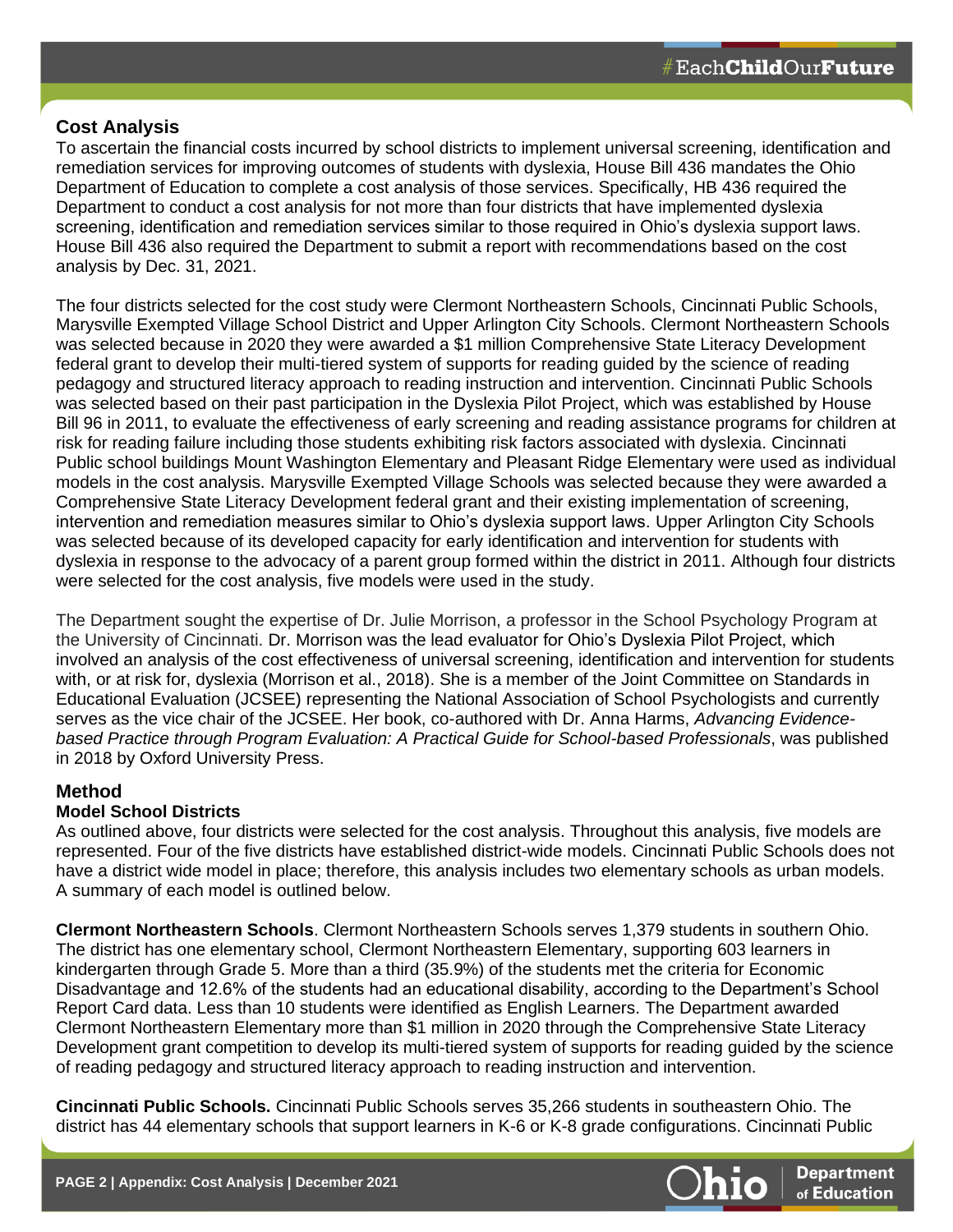# **Cost Analysis**

To ascertain the financial costs incurred by school districts to implement universal screening, identification and remediation services for improving outcomes of students with dyslexia, House Bill 436 mandates the Ohio Department of Education to complete a cost analysis of those services. Specifically, HB 436 required the Department to conduct a cost analysis for not more than four districts that have implemented dyslexia screening, identification and remediation services similar to those required in Ohio's dyslexia support laws. House Bill 436 also required the Department to submit a report with recommendations based on the cost analysis by Dec. 31, 2021.

The four districts selected for the cost study were Clermont Northeastern Schools, Cincinnati Public Schools, Marysville Exempted Village School District and Upper Arlington City Schools. Clermont Northeastern Schools was selected because in 2020 they were awarded a \$1 million Comprehensive State Literacy Development federal grant to develop their multi-tiered system of supports for reading guided by the science of reading pedagogy and structured literacy approach to reading instruction and intervention. Cincinnati Public Schools was selected based on their past participation in the Dyslexia Pilot Project, which was established by House Bill 96 in 2011, to evaluate the effectiveness of early screening and reading assistance programs for children at risk for reading failure including those students exhibiting risk factors associated with dyslexia. Cincinnati Public school buildings Mount Washington Elementary and Pleasant Ridge Elementary were used as individual models in the cost analysis. Marysville Exempted Village Schools was selected because they were awarded a Comprehensive State Literacy Development federal grant and their existing implementation of screening, intervention and remediation measures similar to Ohio's dyslexia support laws. Upper Arlington City Schools was selected because of its developed capacity for early identification and intervention for students with dyslexia in response to the advocacy of a parent group formed within the district in 2011. Although four districts were selected for the cost analysis, five models were used in the study.

The Department sought the expertise of Dr. Julie Morrison, a professor in the School Psychology Program at the University of Cincinnati. Dr. Morrison was the lead evaluator for Ohio's Dyslexia Pilot Project, which involved an analysis of the cost effectiveness of universal screening, identification and intervention for students with, or at risk for, dyslexia (Morrison et al., 2018). She is a member of the Joint Committee on Standards in Educational Evaluation (JCSEE) representing the National Association of School Psychologists and currently serves as the vice chair of the JCSEE. Her book, co-authored with Dr. Anna Harms, *Advancing Evidencebased Practice through Program Evaluation: A Practical Guide for School-based Professionals*, was published in 2018 by Oxford University Press.

# **Method**

# **Model School Districts**

As outlined above, four districts were selected for the cost analysis. Throughout this analysis, five models are represented. Four of the five districts have established district-wide models. Cincinnati Public Schools does not have a district wide model in place; therefore, this analysis includes two elementary schools as urban models. A summary of each model is outlined below.

**Clermont Northeastern Schools**. Clermont Northeastern Schools serves 1,379 students in southern Ohio. The district has one elementary school, Clermont Northeastern Elementary, supporting 603 learners in kindergarten through Grade 5. More than a third (35.9%) of the students met the criteria for Economic Disadvantage and 12.6% of the students had an educational disability, according to the Department's School Report Card data. Less than 10 students were identified as English Learners. The Department awarded Clermont Northeastern Elementary more than \$1 million in 2020 through the Comprehensive State Literacy Development grant competition to develop its multi-tiered system of supports for reading guided by the science of reading pedagogy and structured literacy approach to reading instruction and intervention.

**Cincinnati Public Schools.** Cincinnati Public Schools serves 35,266 students in southeastern Ohio. The district has 44 elementary schools that support learners in K-6 or K-8 grade configurations. Cincinnati Public

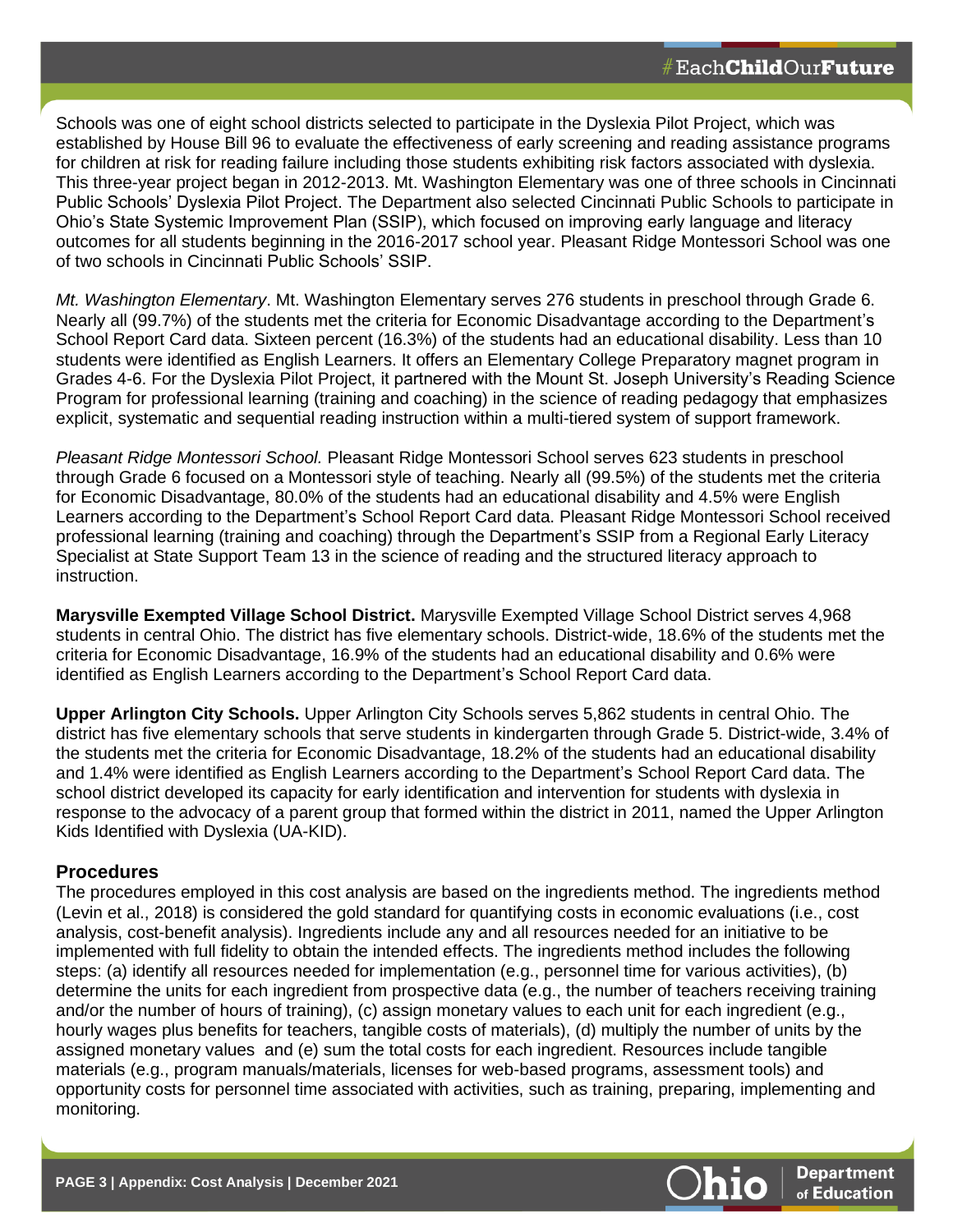Schools was one of eight school districts selected to participate in the Dyslexia Pilot Project, which was established by House Bill 96 to evaluate the effectiveness of early screening and reading assistance programs for children at risk for reading failure including those students exhibiting risk factors associated with dyslexia. This three-year project began in 2012-2013. Mt. Washington Elementary was one of three schools in Cincinnati Public Schools' Dyslexia Pilot Project. The Department also selected Cincinnati Public Schools to participate in Ohio's State Systemic Improvement Plan (SSIP), which focused on improving early language and literacy outcomes for all students beginning in the 2016-2017 school year. Pleasant Ridge Montessori School was one of two schools in Cincinnati Public Schools' SSIP.

*Mt. Washington Elementary*. Mt. Washington Elementary serves 276 students in preschool through Grade 6. Nearly all (99.7%) of the students met the criteria for Economic Disadvantage according to the Department's School Report Card data. Sixteen percent (16.3%) of the students had an educational disability. Less than 10 students were identified as English Learners. It offers an Elementary College Preparatory magnet program in Grades 4-6. For the Dyslexia Pilot Project, it partnered with the Mount St. Joseph University's Reading Science Program for professional learning (training and coaching) in the science of reading pedagogy that emphasizes explicit, systematic and sequential reading instruction within a multi-tiered system of support framework.

*Pleasant Ridge Montessori School.* Pleasant Ridge Montessori School serves 623 students in preschool through Grade 6 focused on a Montessori style of teaching. Nearly all (99.5%) of the students met the criteria for Economic Disadvantage, 80.0% of the students had an educational disability and 4.5% were English Learners according to the Department's School Report Card data. Pleasant Ridge Montessori School received professional learning (training and coaching) through the Department's SSIP from a Regional Early Literacy Specialist at State Support Team 13 in the science of reading and the structured literacy approach to instruction.

**Marysville Exempted Village School District.** Marysville Exempted Village School District serves 4,968 students in central Ohio. The district has five elementary schools. District-wide, 18.6% of the students met the criteria for Economic Disadvantage, 16.9% of the students had an educational disability and 0.6% were identified as English Learners according to the Department's School Report Card data.

**Upper Arlington City Schools.** Upper Arlington City Schools serves 5,862 students in central Ohio. The district has five elementary schools that serve students in kindergarten through Grade 5. District-wide, 3.4% of the students met the criteria for Economic Disadvantage, 18.2% of the students had an educational disability and 1.4% were identified as English Learners according to the Department's School Report Card data. The school district developed its capacity for early identification and intervention for students with dyslexia in response to the advocacy of a parent group that formed within the district in 2011, named the Upper Arlington Kids Identified with Dyslexia (UA-KID).

# **Procedures**

The procedures employed in this cost analysis are based on the ingredients method. The ingredients method (Levin et al., 2018) is considered the gold standard for quantifying costs in economic evaluations (i.e., cost analysis, cost-benefit analysis). Ingredients include any and all resources needed for an initiative to be implemented with full fidelity to obtain the intended effects. The ingredients method includes the following steps: (a) identify all resources needed for implementation (e.g., personnel time for various activities), (b) determine the units for each ingredient from prospective data (e.g., the number of teachers receiving training and/or the number of hours of training), (c) assign monetary values to each unit for each ingredient (e.g., hourly wages plus benefits for teachers, tangible costs of materials), (d) multiply the number of units by the assigned monetary values and (e) sum the total costs for each ingredient. Resources include tangible materials (e.g., program manuals/materials, licenses for web-based programs, assessment tools) and opportunity costs for personnel time associated with activities, such as training, preparing, implementing and monitoring.

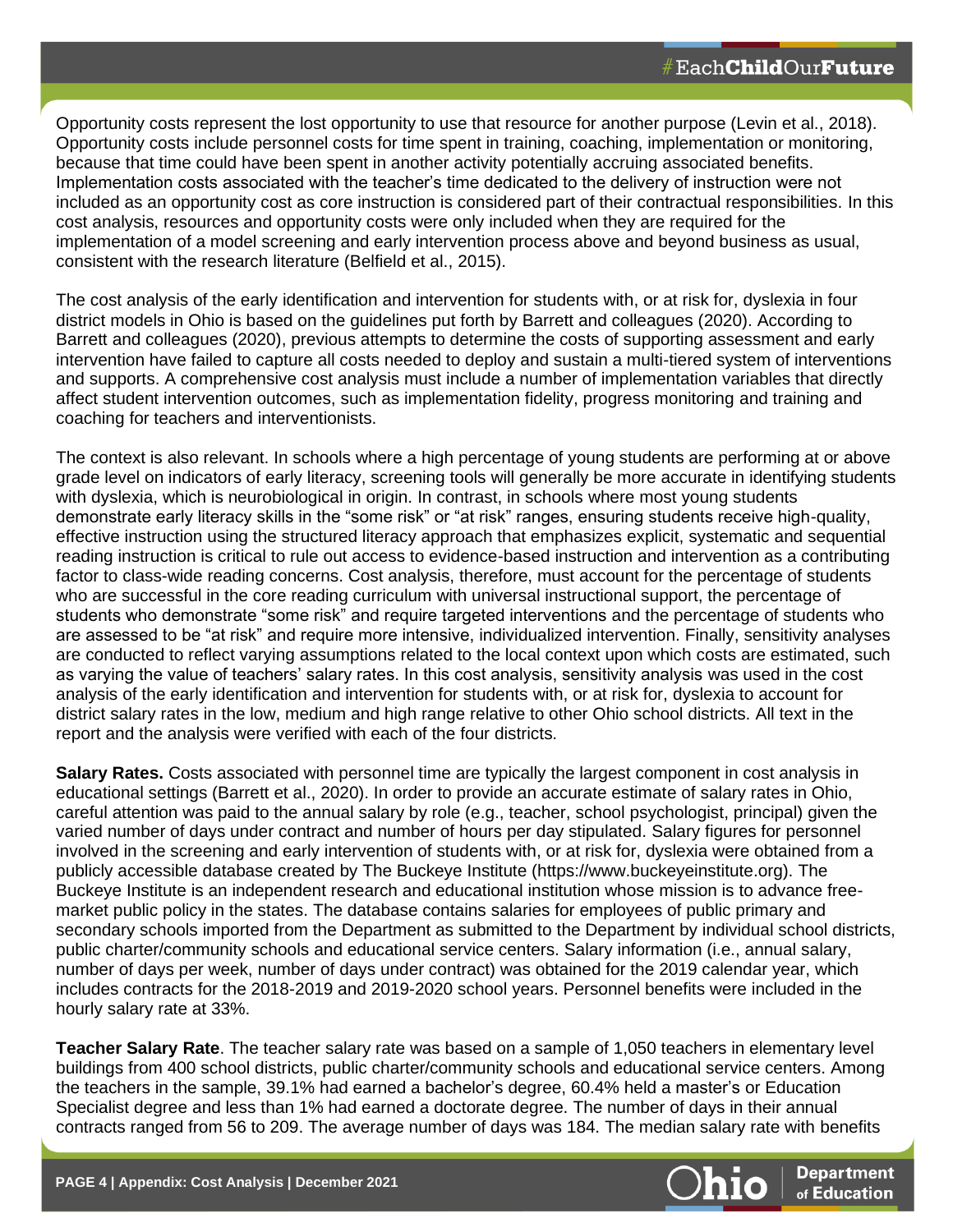Opportunity costs represent the lost opportunity to use that resource for another purpose (Levin et al., 2018). Opportunity costs include personnel costs for time spent in training, coaching, implementation or monitoring, because that time could have been spent in another activity potentially accruing associated benefits. Implementation costs associated with the teacher's time dedicated to the delivery of instruction were not included as an opportunity cost as core instruction is considered part of their contractual responsibilities. In this cost analysis, resources and opportunity costs were only included when they are required for the implementation of a model screening and early intervention process above and beyond business as usual, consistent with the research literature (Belfield et al., 2015).

The cost analysis of the early identification and intervention for students with, or at risk for, dyslexia in four district models in Ohio is based on the guidelines put forth by Barrett and colleagues (2020). According to Barrett and colleagues (2020), previous attempts to determine the costs of supporting assessment and early intervention have failed to capture all costs needed to deploy and sustain a multi-tiered system of interventions and supports. A comprehensive cost analysis must include a number of implementation variables that directly affect student intervention outcomes, such as implementation fidelity, progress monitoring and training and coaching for teachers and interventionists.

The context is also relevant. In schools where a high percentage of young students are performing at or above grade level on indicators of early literacy, screening tools will generally be more accurate in identifying students with dyslexia, which is neurobiological in origin. In contrast, in schools where most young students demonstrate early literacy skills in the "some risk" or "at risk" ranges, ensuring students receive high-quality, effective instruction using the structured literacy approach that emphasizes explicit, systematic and sequential reading instruction is critical to rule out access to evidence-based instruction and intervention as a contributing factor to class-wide reading concerns. Cost analysis, therefore, must account for the percentage of students who are successful in the core reading curriculum with universal instructional support, the percentage of students who demonstrate "some risk" and require targeted interventions and the percentage of students who are assessed to be "at risk" and require more intensive, individualized intervention. Finally, sensitivity analyses are conducted to reflect varying assumptions related to the local context upon which costs are estimated, such as varying the value of teachers' salary rates. In this cost analysis, sensitivity analysis was used in the cost analysis of the early identification and intervention for students with, or at risk for, dyslexia to account for district salary rates in the low, medium and high range relative to other Ohio school districts. All text in the report and the analysis were verified with each of the four districts.

**Salary Rates.** Costs associated with personnel time are typically the largest component in cost analysis in educational settings (Barrett et al., 2020). In order to provide an accurate estimate of salary rates in Ohio, careful attention was paid to the annual salary by role (e.g., teacher, school psychologist, principal) given the varied number of days under contract and number of hours per day stipulated. Salary figures for personnel involved in the screening and early intervention of students with, or at risk for, dyslexia were obtained from a publicly accessible database created by The Buckeye Institute (https://www.buckeyeinstitute.org). The Buckeye Institute is an independent research and educational institution whose mission is to advance freemarket public policy in the states. The database contains salaries for employees of public primary and secondary schools imported from the Department as submitted to the Department by individual school districts, public charter/community schools and educational service centers. Salary information (i.e., annual salary, number of days per week, number of days under contract) was obtained for the 2019 calendar year, which includes contracts for the 2018-2019 and 2019-2020 school years. Personnel benefits were included in the hourly salary rate at 33%.

**Teacher Salary Rate**. The teacher salary rate was based on a sample of 1,050 teachers in elementary level buildings from 400 school districts, public charter/community schools and educational service centers. Among the teachers in the sample, 39.1% had earned a bachelor's degree, 60.4% held a master's or Education Specialist degree and less than 1% had earned a doctorate degree. The number of days in their annual contracts ranged from 56 to 209. The average number of days was 184. The median salary rate with benefits

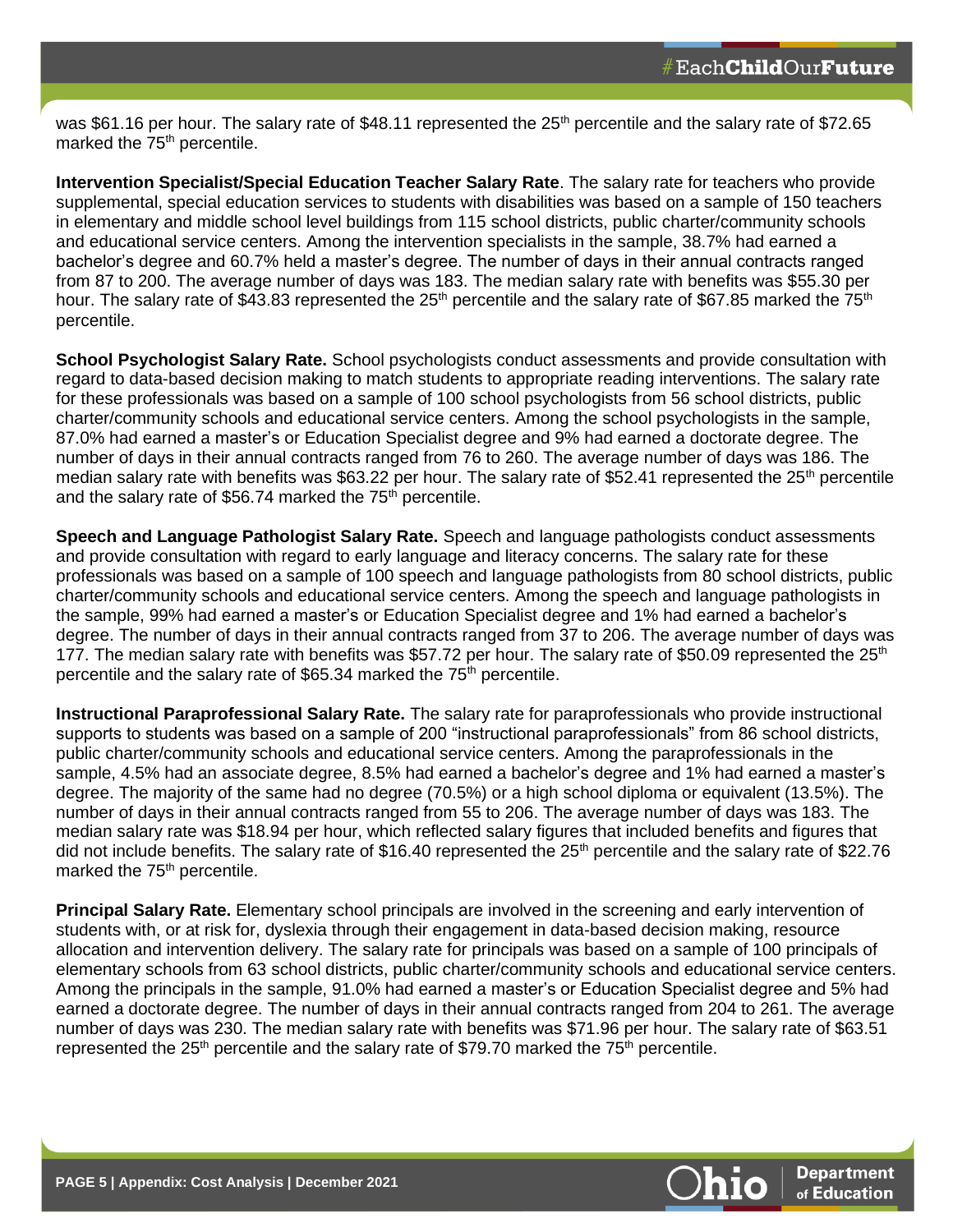was \$61.16 per hour. The salary rate of \$48.11 represented the 25<sup>th</sup> percentile and the salary rate of \$72.65 marked the 75<sup>th</sup> percentile.

**Intervention Specialist/Special Education Teacher Salary Rate**. The salary rate for teachers who provide supplemental, special education services to students with disabilities was based on a sample of 150 teachers in elementary and middle school level buildings from 115 school districts, public charter/community schools and educational service centers. Among the intervention specialists in the sample, 38.7% had earned a bachelor's degree and 60.7% held a master's degree. The number of days in their annual contracts ranged from 87 to 200. The average number of days was 183. The median salary rate with benefits was \$55.30 per hour. The salary rate of \$43.83 represented the 25<sup>th</sup> percentile and the salary rate of \$67.85 marked the 75<sup>th</sup> percentile.

**School Psychologist Salary Rate.** School psychologists conduct assessments and provide consultation with regard to data-based decision making to match students to appropriate reading interventions. The salary rate for these professionals was based on a sample of 100 school psychologists from 56 school districts, public charter/community schools and educational service centers. Among the school psychologists in the sample, 87.0% had earned a master's or Education Specialist degree and 9% had earned a doctorate degree. The number of days in their annual contracts ranged from 76 to 260. The average number of days was 186. The median salary rate with benefits was \$63.22 per hour. The salary rate of \$52.41 represented the 25<sup>th</sup> percentile and the salary rate of \$56.74 marked the  $75<sup>th</sup>$  percentile.

**Speech and Language Pathologist Salary Rate.** Speech and language pathologists conduct assessments and provide consultation with regard to early language and literacy concerns. The salary rate for these professionals was based on a sample of 100 speech and language pathologists from 80 school districts, public charter/community schools and educational service centers. Among the speech and language pathologists in the sample, 99% had earned a master's or Education Specialist degree and 1% had earned a bachelor's degree. The number of days in their annual contracts ranged from 37 to 206. The average number of days was 177. The median salary rate with benefits was \$57.72 per hour. The salary rate of \$50.09 represented the  $25<sup>th</sup>$ percentile and the salary rate of \$65.34 marked the 75th percentile.

**Instructional Paraprofessional Salary Rate.** The salary rate for paraprofessionals who provide instructional supports to students was based on a sample of 200 "instructional paraprofessionals" from 86 school districts, public charter/community schools and educational service centers. Among the paraprofessionals in the sample, 4.5% had an associate degree, 8.5% had earned a bachelor's degree and 1% had earned a master's degree. The majority of the same had no degree (70.5%) or a high school diploma or equivalent (13.5%). The number of days in their annual contracts ranged from 55 to 206. The average number of days was 183. The median salary rate was \$18.94 per hour, which reflected salary figures that included benefits and figures that did not include benefits. The salary rate of \$16.40 represented the  $25<sup>th</sup>$  percentile and the salary rate of \$22.76 marked the 75<sup>th</sup> percentile.

**Principal Salary Rate.** Elementary school principals are involved in the screening and early intervention of students with, or at risk for, dyslexia through their engagement in data-based decision making, resource allocation and intervention delivery. The salary rate for principals was based on a sample of 100 principals of elementary schools from 63 school districts, public charter/community schools and educational service centers. Among the principals in the sample, 91.0% had earned a master's or Education Specialist degree and 5% had earned a doctorate degree. The number of days in their annual contracts ranged from 204 to 261. The average number of days was 230. The median salary rate with benefits was \$71.96 per hour. The salary rate of \$63.51 represented the  $25<sup>th</sup>$  percentile and the salary rate of \$79.70 marked the 75<sup>th</sup> percentile.

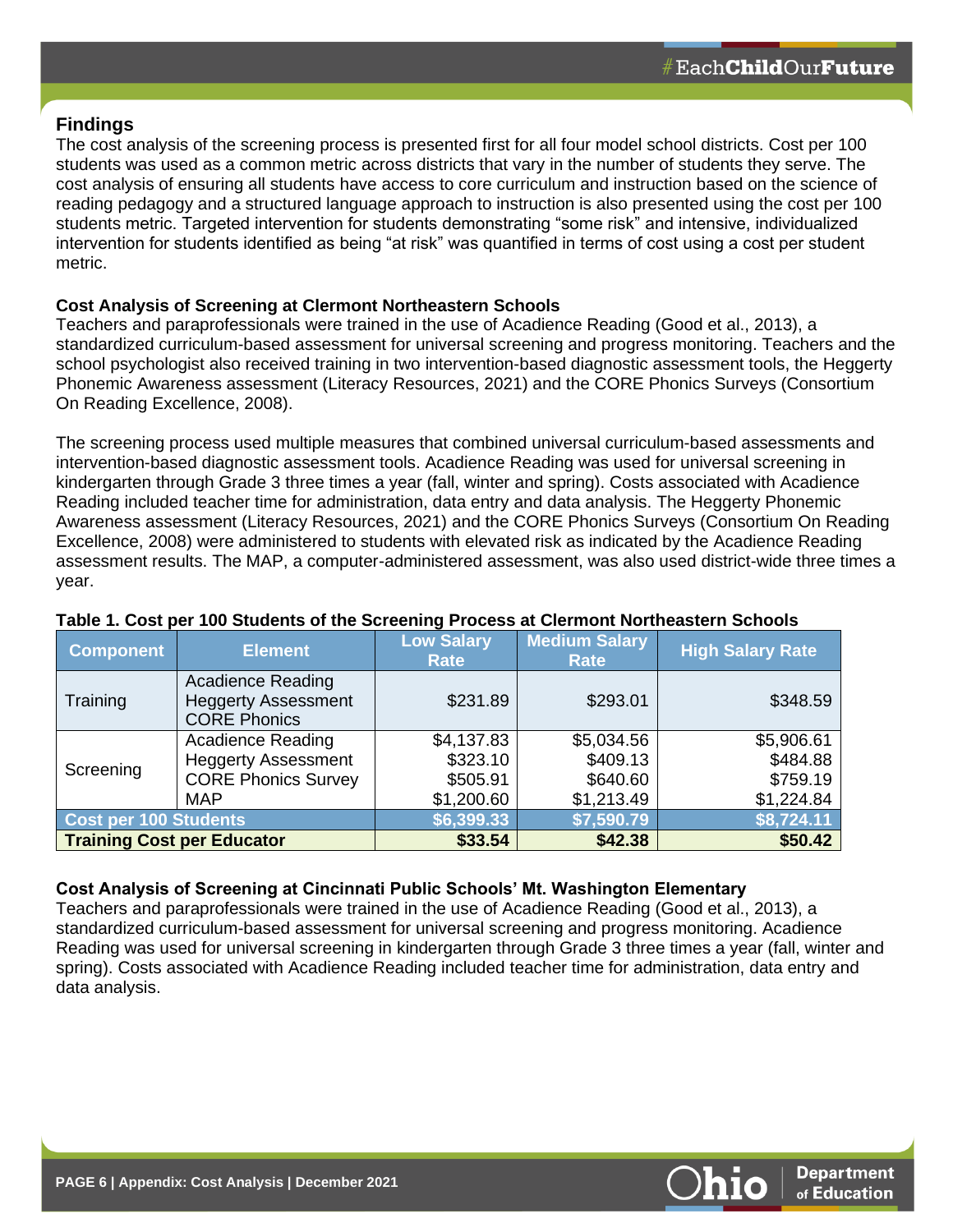# **Findings**

The cost analysis of the screening process is presented first for all four model school districts. Cost per 100 students was used as a common metric across districts that vary in the number of students they serve. The cost analysis of ensuring all students have access to core curriculum and instruction based on the science of reading pedagogy and a structured language approach to instruction is also presented using the cost per 100 students metric. Targeted intervention for students demonstrating "some risk" and intensive, individualized intervention for students identified as being "at risk" was quantified in terms of cost using a cost per student metric.

#### **Cost Analysis of Screening at Clermont Northeastern Schools**

Teachers and paraprofessionals were trained in the use of Acadience Reading (Good et al., 2013), a standardized curriculum-based assessment for universal screening and progress monitoring. Teachers and the school psychologist also received training in two intervention-based diagnostic assessment tools, the Heggerty Phonemic Awareness assessment (Literacy Resources, 2021) and the CORE Phonics Surveys (Consortium On Reading Excellence, 2008).

The screening process used multiple measures that combined universal curriculum-based assessments and intervention-based diagnostic assessment tools. Acadience Reading was used for universal screening in kindergarten through Grade 3 three times a year (fall, winter and spring). Costs associated with Acadience Reading included teacher time for administration, data entry and data analysis. The Heggerty Phonemic Awareness assessment (Literacy Resources, 2021) and the CORE Phonics Surveys (Consortium On Reading Excellence, 2008) were administered to students with elevated risk as indicated by the Acadience Reading assessment results. The MAP, a computer-administered assessment, was also used district-wide three times a year.

| <b>Component</b>                  | <b>Element</b>                                                                | <b>Low Salary</b><br>Rate | <b>Medium Salary</b><br>Rate | <b>High Salary Rate</b> |
|-----------------------------------|-------------------------------------------------------------------------------|---------------------------|------------------------------|-------------------------|
| Training                          | <b>Acadience Reading</b><br><b>Heggerty Assessment</b><br><b>CORE Phonics</b> | \$231.89                  | \$293.01                     | \$348.59                |
|                                   | <b>Acadience Reading</b>                                                      | \$4,137.83                | \$5,034.56                   | \$5,906.61              |
| Screening                         | <b>Heggerty Assessment</b>                                                    | \$323.10                  | \$409.13                     | \$484.88                |
|                                   | <b>CORE Phonics Survey</b>                                                    | \$505.91                  | \$640.60                     | \$759.19                |
|                                   | <b>MAP</b>                                                                    | \$1,200.60                | \$1,213.49                   | \$1,224.84              |
| <b>Cost per 100 Students</b>      |                                                                               | \$6,399.33                | \$7,590.79                   | \$8,724.11              |
| <b>Training Cost per Educator</b> |                                                                               | \$33.54                   | \$42.38                      | \$50.42                 |

#### **Table 1. Cost per 100 Students of the Screening Process at Clermont Northeastern Schools**

#### **Cost Analysis of Screening at Cincinnati Public Schools' Mt. Washington Elementary**

Teachers and paraprofessionals were trained in the use of Acadience Reading (Good et al., 2013), a standardized curriculum-based assessment for universal screening and progress monitoring. Acadience Reading was used for universal screening in kindergarten through Grade 3 three times a year (fall, winter and spring). Costs associated with Acadience Reading included teacher time for administration, data entry and data analysis.

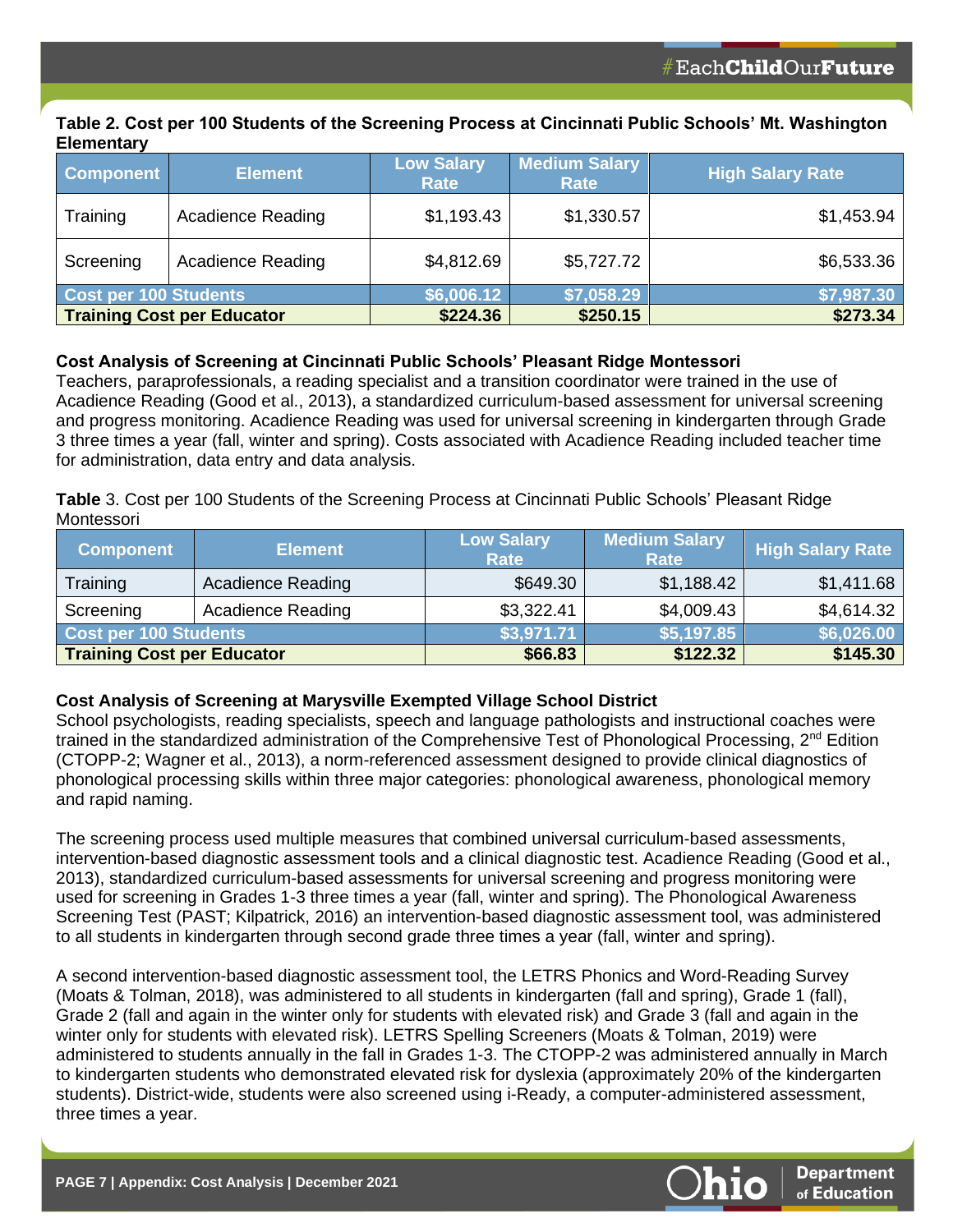### **Table 2. Cost per 100 Students of the Screening Process at Cincinnati Public Schools' Mt. Washington Elementary**

| <b>Component</b>      | <b>Element</b>                    | <b>Low Salary</b><br>Rate | <b>Medium Salary</b><br>Rate | <b>High Salary Rate</b> |
|-----------------------|-----------------------------------|---------------------------|------------------------------|-------------------------|
| Training              | <b>Acadience Reading</b>          | \$1,193.43                | \$1,330.57                   | \$1,453.94              |
| Screening             | <b>Acadience Reading</b>          | \$4,812.69                | \$5,727.72                   | \$6,533.36              |
| Cost per 100 Students |                                   | \$6,006.12                | \$7,058.29                   | \$7,987.30              |
|                       | <b>Training Cost per Educator</b> | \$224.36                  | \$250.15                     | \$273.34                |

# **Cost Analysis of Screening at Cincinnati Public Schools' Pleasant Ridge Montessori**

Teachers, paraprofessionals, a reading specialist and a transition coordinator were trained in the use of Acadience Reading (Good et al., 2013), a standardized curriculum-based assessment for universal screening and progress monitoring. Acadience Reading was used for universal screening in kindergarten through Grade 3 three times a year (fall, winter and spring). Costs associated with Acadience Reading included teacher time for administration, data entry and data analysis.

**Table** 3. Cost per 100 Students of the Screening Process at Cincinnati Public Schools' Pleasant Ridge **Montessori** 

| <b>Component</b>                  | <b>Element</b>           | <b>Low Salary</b><br><b>Rate</b> | <b>Medium Salary</b><br>Rate | <b>High Salary Rate</b> |
|-----------------------------------|--------------------------|----------------------------------|------------------------------|-------------------------|
| Training                          | <b>Acadience Reading</b> | \$649.30                         | \$1,188.42                   | \$1,411.68              |
| Screening                         | <b>Acadience Reading</b> | \$3,322.41                       | \$4,009.43                   | \$4,614.32              |
| Cost per 100 Students             |                          | \$3,971.71                       | \$5,197.85                   | \$6,026.00              |
| <b>Training Cost per Educator</b> |                          | \$66.83                          | \$122.32                     | \$145.30                |

# **Cost Analysis of Screening at Marysville Exempted Village School District**

School psychologists, reading specialists, speech and language pathologists and instructional coaches were trained in the standardized administration of the Comprehensive Test of Phonological Processing, 2<sup>nd</sup> Edition (CTOPP-2; Wagner et al., 2013), a norm-referenced assessment designed to provide clinical diagnostics of phonological processing skills within three major categories: phonological awareness, phonological memory and rapid naming.

The screening process used multiple measures that combined universal curriculum-based assessments, intervention-based diagnostic assessment tools and a clinical diagnostic test. Acadience Reading (Good et al., 2013), standardized curriculum-based assessments for universal screening and progress monitoring were used for screening in Grades 1-3 three times a year (fall, winter and spring). The Phonological Awareness Screening Test (PAST; Kilpatrick, 2016) an intervention-based diagnostic assessment tool, was administered to all students in kindergarten through second grade three times a year (fall, winter and spring).

A second intervention-based diagnostic assessment tool, the LETRS Phonics and Word-Reading Survey (Moats & Tolman, 2018), was administered to all students in kindergarten (fall and spring), Grade 1 (fall), Grade 2 (fall and again in the winter only for students with elevated risk) and Grade 3 (fall and again in the winter only for students with elevated risk). LETRS Spelling Screeners (Moats & Tolman, 2019) were administered to students annually in the fall in Grades 1-3. The CTOPP-2 was administered annually in March to kindergarten students who demonstrated elevated risk for dyslexia (approximately 20% of the kindergarten students). District-wide, students were also screened using i-Ready, a computer-administered assessment, three times a year.

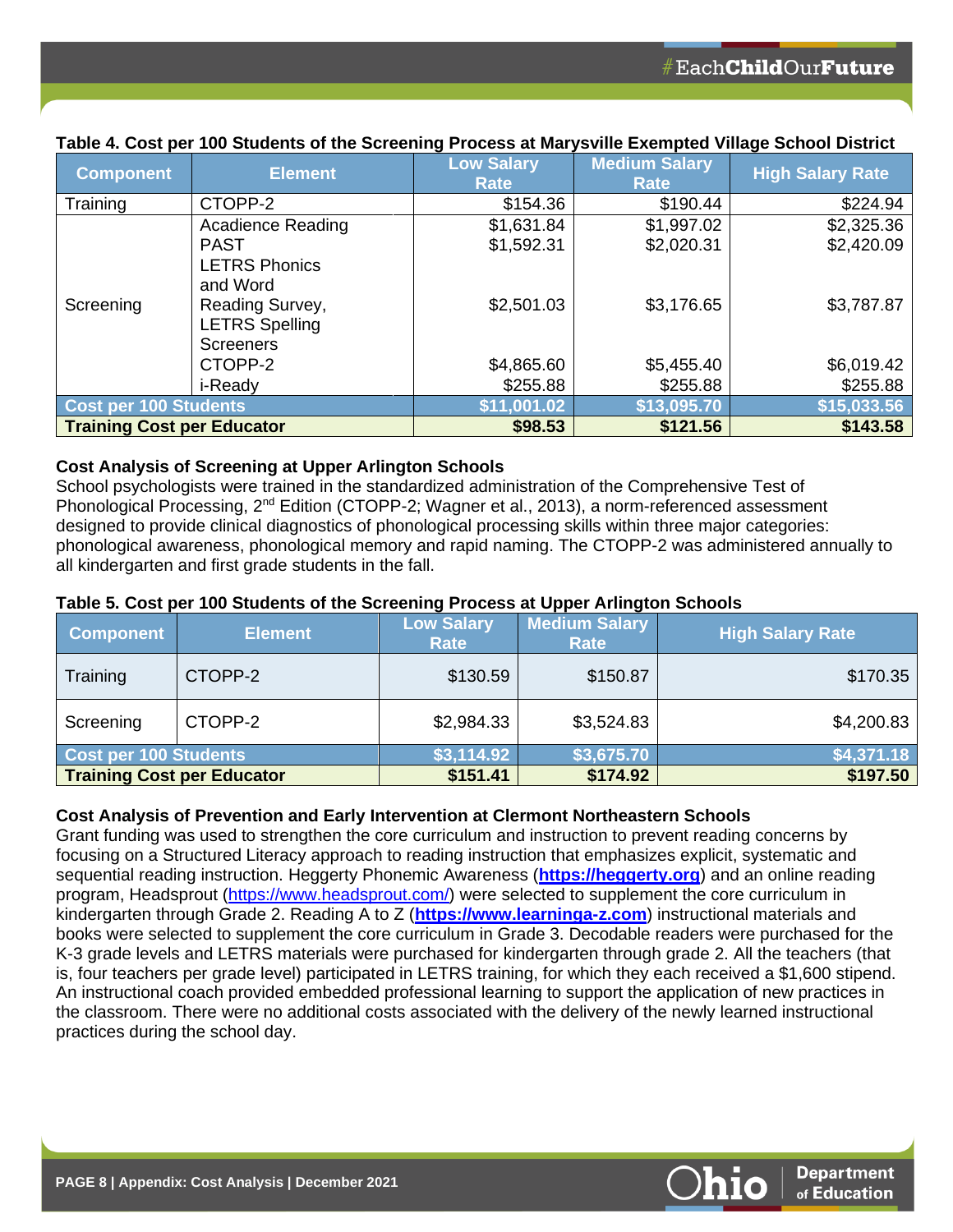| <b>Component</b>                  | <b>Element</b>                           | <b>Low Salary</b><br>Rate | <b>Medium Salary</b><br><b>Rate</b> | <b>High Salary Rate</b> |
|-----------------------------------|------------------------------------------|---------------------------|-------------------------------------|-------------------------|
| Training                          | CTOPP-2                                  | \$154.36                  | \$190.44                            | \$224.94                |
|                                   | <b>Acadience Reading</b>                 | \$1,631.84                | \$1,997.02                          | \$2,325.36              |
|                                   | <b>PAST</b>                              | \$1,592.31                | \$2,020.31                          | \$2,420.09              |
|                                   | <b>LETRS Phonics</b><br>and Word         |                           |                                     |                         |
| Screening                         | Reading Survey,<br><b>LETRS Spelling</b> | \$2,501.03                | \$3,176.65                          | \$3,787.87              |
|                                   | <b>Screeners</b>                         |                           |                                     |                         |
|                                   | CTOPP-2                                  | \$4,865.60                | \$5,455.40                          | \$6,019.42              |
|                                   | i-Ready                                  | \$255.88                  | \$255.88                            | \$255.88                |
| <b>Cost per 100 Students</b>      |                                          | \$11,001.02               | \$13,095.70                         | \$15,033.56             |
| <b>Training Cost per Educator</b> |                                          | \$98.53                   | \$121.56                            | \$143.58                |

# **Table 4. Cost per 100 Students of the Screening Process at Marysville Exempted Village School District**

# **Cost Analysis of Screening at Upper Arlington Schools**

School psychologists were trained in the standardized administration of the Comprehensive Test of Phonological Processing, 2<sup>nd</sup> Edition (CTOPP-2; Wagner et al., 2013), a norm-referenced assessment designed to provide clinical diagnostics of phonological processing skills within three major categories: phonological awareness, phonological memory and rapid naming. The CTOPP-2 was administered annually to all kindergarten and first grade students in the fall.

#### **Table 5. Cost per 100 Students of the Screening Process at Upper Arlington Schools**

| <b>Component</b>                  | <b>Element</b> | <b>Low Salary</b><br>Rate | <b>Medium Salary</b><br>Rate | <b>High Salary Rate</b> |
|-----------------------------------|----------------|---------------------------|------------------------------|-------------------------|
| Training                          | CTOPP-2        | \$130.59                  | \$150.87                     | \$170.35                |
| Screening                         | CTOPP-2        | \$2,984.33                | \$3,524.83                   | \$4,200.83              |
| Cost per 100 Students             |                | \$3,114.92                | \$3,675.70                   | \$4,371.18              |
| <b>Training Cost per Educator</b> |                | \$151.41                  | \$174.92                     | \$197.50                |

# **Cost Analysis of Prevention and Early Intervention at Clermont Northeastern Schools**

Grant funding was used to strengthen the core curriculum and instruction to prevent reading concerns by focusing on a Structured Literacy approach to reading instruction that emphasizes explicit, systematic and sequential reading instruction. Heggerty Phonemic Awareness (**[https://heggerty.org](https://heggerty.org/)**) and an online reading program, Headsprout [\(https://www.headsprout.com/\)](https://www.headsprout.com/) were selected to supplement the core curriculum in kindergarten through Grade 2. Reading A to Z (**[https://www.learninga-z.com](https://www.learninga-z.com/)**) instructional materials and books were selected to supplement the core curriculum in Grade 3. Decodable readers were purchased for the K-3 grade levels and LETRS materials were purchased for kindergarten through grade 2. All the teachers (that is, four teachers per grade level) participated in LETRS training, for which they each received a \$1,600 stipend. An instructional coach provided embedded professional learning to support the application of new practices in the classroom. There were no additional costs associated with the delivery of the newly learned instructional practices during the school day.

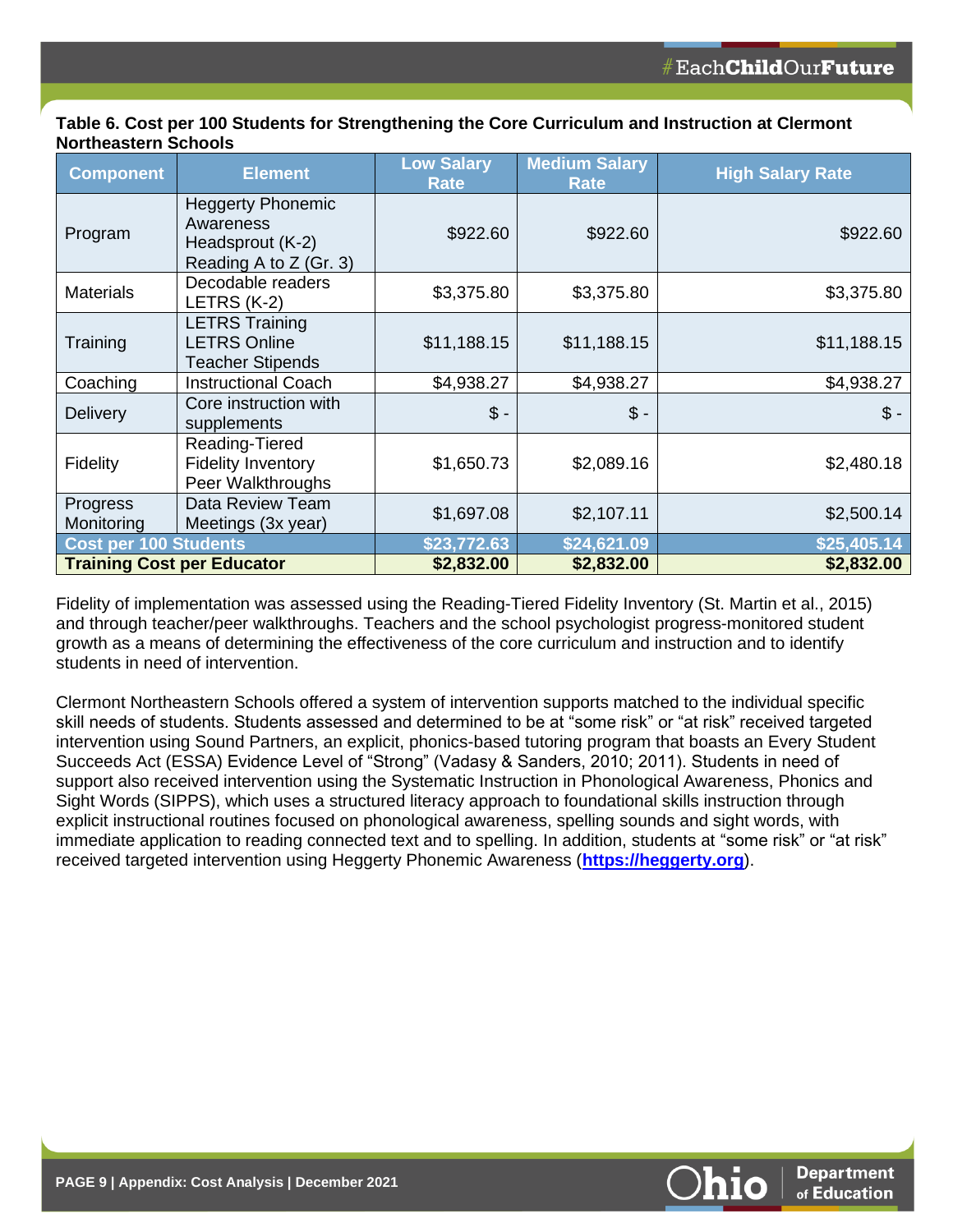| Table 6. Cost per 100 Students for Strengthening the Core Curriculum and Instruction at Clermont |  |
|--------------------------------------------------------------------------------------------------|--|
| <b>Northeastern Schools</b>                                                                      |  |

| <b>Component</b>                  | <b>Element</b>                                                                      | <b>Low Salary</b><br><b>Rate</b> | <b>Medium Salary</b><br><b>Rate</b> | <b>High Salary Rate</b> |
|-----------------------------------|-------------------------------------------------------------------------------------|----------------------------------|-------------------------------------|-------------------------|
| Program                           | <b>Heggerty Phonemic</b><br>Awareness<br>Headsprout (K-2)<br>Reading A to Z (Gr. 3) | \$922.60                         | \$922.60                            | \$922.60                |
| <b>Materials</b>                  | Decodable readers<br>LETRS (K-2)                                                    | \$3,375.80                       | \$3,375.80                          | \$3,375.80              |
| Training                          | <b>LETRS Training</b><br><b>LETRS Online</b><br><b>Teacher Stipends</b>             | \$11,188.15                      | \$11,188.15                         | \$11,188.15             |
| Coaching                          | <b>Instructional Coach</b>                                                          | \$4,938.27                       | \$4,938.27                          | \$4,938.27              |
| <b>Delivery</b>                   | Core instruction with<br>supplements                                                | $$ -$                            | $$ -$                               | $\mathcal{S}$ -         |
| Fidelity                          | Reading-Tiered<br><b>Fidelity Inventory</b><br>Peer Walkthroughs                    | \$1,650.73                       | \$2,089.16                          | \$2,480.18              |
| Progress<br>Monitoring            | Data Review Team<br>Meetings (3x year)                                              | \$1,697.08                       | \$2,107.11                          | \$2,500.14              |
| <b>Cost per 100 Students</b>      |                                                                                     | \$23,772.63                      | \$24,621.09                         | \$25,405.14             |
| <b>Training Cost per Educator</b> |                                                                                     | \$2,832.00                       | \$2,832.00                          | \$2,832.00              |

Fidelity of implementation was assessed using the Reading-Tiered Fidelity Inventory (St. Martin et al., 2015) and through teacher/peer walkthroughs. Teachers and the school psychologist progress-monitored student growth as a means of determining the effectiveness of the core curriculum and instruction and to identify students in need of intervention.

Clermont Northeastern Schools offered a system of intervention supports matched to the individual specific skill needs of students. Students assessed and determined to be at "some risk" or "at risk" received targeted intervention using Sound Partners, an explicit, phonics-based tutoring program that boasts an Every Student Succeeds Act (ESSA) Evidence Level of "Strong" (Vadasy & Sanders, 2010; 2011). Students in need of support also received intervention using the Systematic Instruction in Phonological Awareness, Phonics and Sight Words (SIPPS), which uses a structured literacy approach to foundational skills instruction through explicit instructional routines focused on phonological awareness, spelling sounds and sight words, with immediate application to reading connected text and to spelling. In addition, students at "some risk" or "at risk" received targeted intervention using Heggerty Phonemic Awareness (**[https://heggerty.org](https://heggerty.org/)**).

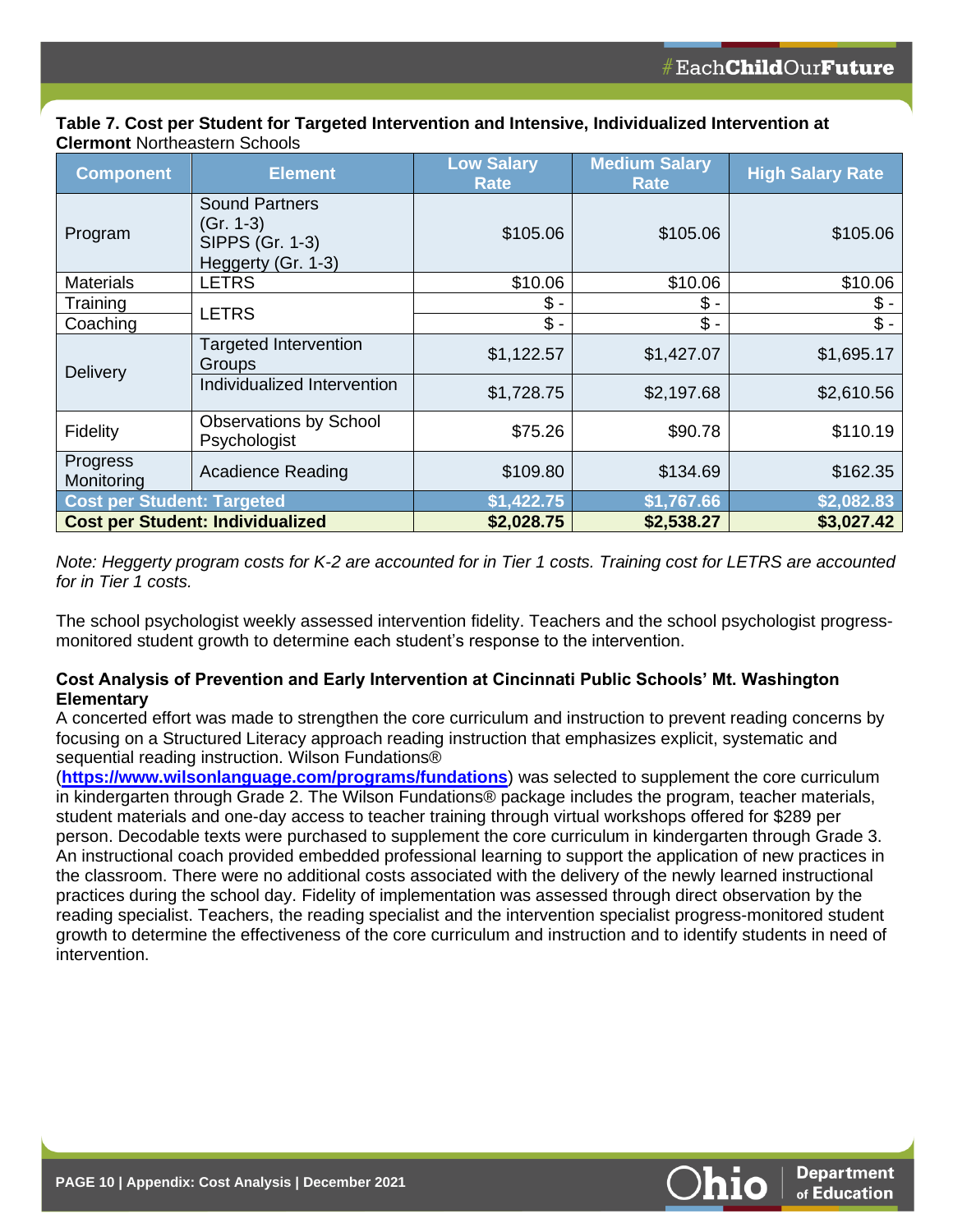#### **Table 7. Cost per Student for Targeted Intervention and Intensive, Individualized Intervention at Clermont** Northeastern Schools

| <b>Component</b>                  | <b>Element</b>                                                              | <b>Low Salary</b><br><b>Rate</b> | <b>Medium Salary</b><br><b>Rate</b> | <b>High Salary Rate</b> |
|-----------------------------------|-----------------------------------------------------------------------------|----------------------------------|-------------------------------------|-------------------------|
| Program                           | <b>Sound Partners</b><br>(Gr. 1-3)<br>SIPPS (Gr. 1-3)<br>Heggerty (Gr. 1-3) | \$105.06                         | \$105.06                            | \$105.06                |
| <b>Materials</b>                  | <b>LETRS</b>                                                                | \$10.06                          | \$10.06                             | \$10.06                 |
| Training                          | <b>LETRS</b>                                                                | \$ -                             | \$ -                                | \$ -                    |
| Coaching                          |                                                                             | $\frac{2}{3}$ -                  | $$ -$                               | $$ -$                   |
| <b>Delivery</b>                   | <b>Targeted Intervention</b><br>Groups                                      | \$1,122.57                       | \$1,427.07                          | \$1,695.17              |
|                                   | Individualized Intervention                                                 | \$1,728.75                       | \$2,197.68                          | \$2,610.56              |
| Fidelity                          | <b>Observations by School</b><br>Psychologist                               | \$75.26                          | \$90.78                             | \$110.19                |
| Progress<br>Monitoring            | <b>Acadience Reading</b>                                                    | \$109.80                         | \$134.69                            | \$162.35                |
| <b>Cost per Student: Targeted</b> |                                                                             | \$1,422.75                       | \$1,767.66                          | \$2,082.83              |
|                                   | <b>Cost per Student: Individualized</b>                                     | \$2,028.75                       | \$2,538.27                          | \$3,027.42              |

*Note: Heggerty program costs for K-2 are accounted for in Tier 1 costs. Training cost for LETRS are accounted for in Tier 1 costs.*

The school psychologist weekly assessed intervention fidelity. Teachers and the school psychologist progressmonitored student growth to determine each student's response to the intervention.

### **Cost Analysis of Prevention and Early Intervention at Cincinnati Public Schools' Mt. Washington Elementary**

A concerted effort was made to strengthen the core curriculum and instruction to prevent reading concerns by focusing on a Structured Literacy approach reading instruction that emphasizes explicit, systematic and sequential reading instruction. Wilson Fundations®

(**<https://www.wilsonlanguage.com/programs/fundations>**) was selected to supplement the core curriculum in kindergarten through Grade 2. The Wilson Fundations® package includes the program, teacher materials, student materials and one-day access to teacher training through virtual workshops offered for \$289 per person. Decodable texts were purchased to supplement the core curriculum in kindergarten through Grade 3. An instructional coach provided embedded professional learning to support the application of new practices in the classroom. There were no additional costs associated with the delivery of the newly learned instructional practices during the school day. Fidelity of implementation was assessed through direct observation by the reading specialist. Teachers, the reading specialist and the intervention specialist progress-monitored student growth to determine the effectiveness of the core curriculum and instruction and to identify students in need of intervention.

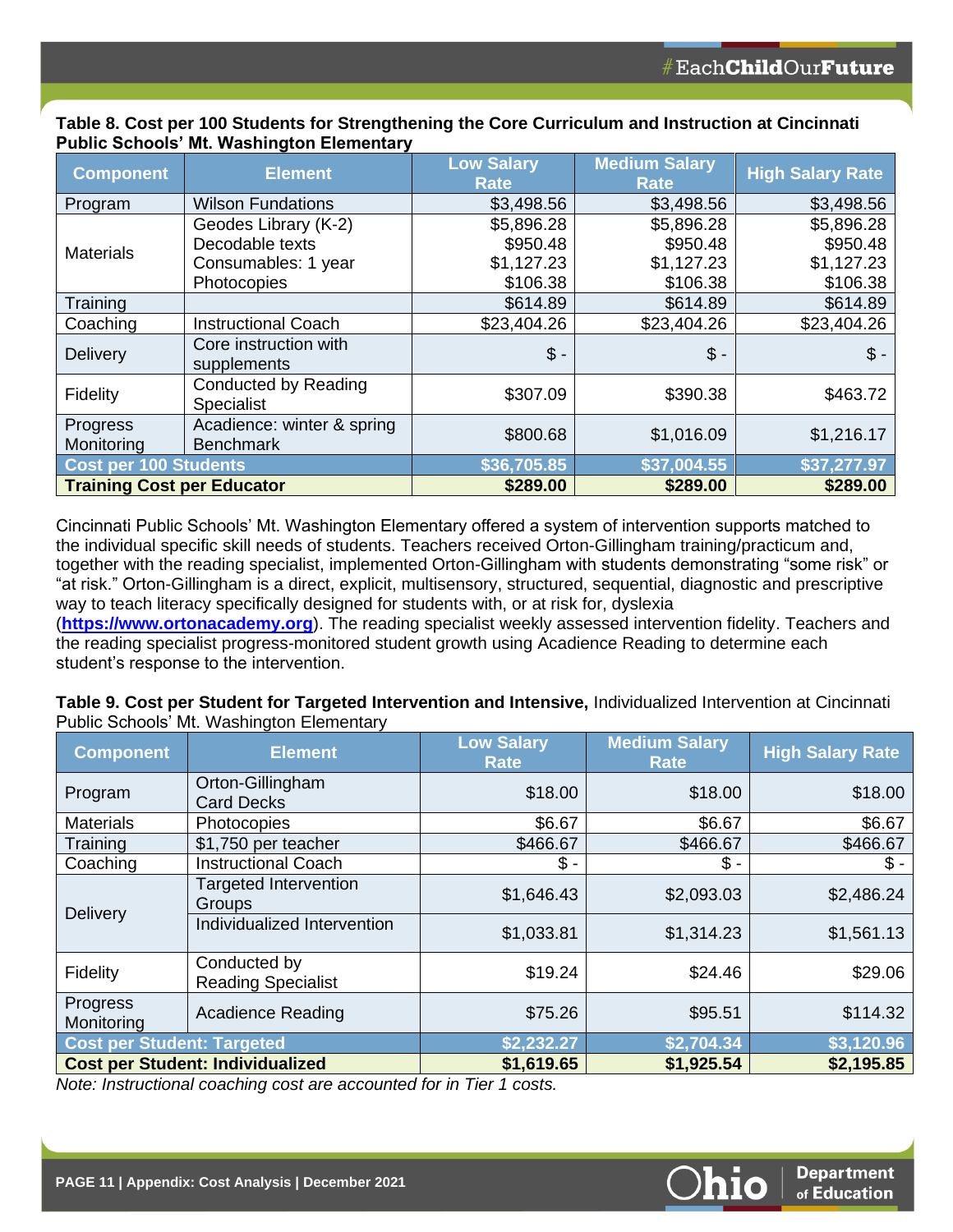| <b>Component</b>                  | <b>Element</b>                                 | <b>Low Salary</b><br><b>Rate</b> | <b>Medium Salary</b><br><b>Rate</b> | <b>High Salary Rate</b> |
|-----------------------------------|------------------------------------------------|----------------------------------|-------------------------------------|-------------------------|
| Program                           | <b>Wilson Fundations</b>                       | \$3,498.56                       | \$3,498.56                          | \$3,498.56              |
|                                   | Geodes Library (K-2)                           | \$5,896.28                       | \$5,896.28                          | \$5,896.28              |
| <b>Materials</b>                  | Decodable texts                                | \$950.48                         | \$950.48                            | \$950.48                |
|                                   | Consumables: 1 year                            | \$1,127.23                       | \$1,127.23                          | \$1,127.23              |
|                                   | Photocopies                                    | \$106.38                         | \$106.38                            | \$106.38                |
| Training                          |                                                | \$614.89                         | \$614.89                            | \$614.89                |
| Coaching                          | <b>Instructional Coach</b>                     | \$23,404.26                      | \$23,404.26                         | \$23,404.26             |
| <b>Delivery</b>                   | Core instruction with<br>supplements           | $$ -$                            | $$ -$                               | $\mathsf{\$}$ -         |
| Fidelity                          | Conducted by Reading<br><b>Specialist</b>      | \$307.09                         | \$390.38                            | \$463.72                |
| Progress<br>Monitoring            | Acadience: winter & spring<br><b>Benchmark</b> | \$800.68                         | \$1,016.09                          | \$1,216.17              |
| <b>Cost per 100 Students</b>      |                                                | \$36,705.85                      | \$37,004.55                         | \$37,277.97             |
| <b>Training Cost per Educator</b> |                                                | \$289.00                         | \$289.00                            | \$289.00                |

### **Table 8. Cost per 100 Students for Strengthening the Core Curriculum and Instruction at Cincinnati Public Schools' Mt. Washington Elementary**

Cincinnati Public Schools' Mt. Washington Elementary offered a system of intervention supports matched to the individual specific skill needs of students. Teachers received Orton-Gillingham training/practicum and, together with the reading specialist, implemented Orton-Gillingham with students demonstrating "some risk" or "at risk." Orton-Gillingham is a direct, explicit, multisensory, structured, sequential, diagnostic and prescriptive way to teach literacy specifically designed for students with, or at risk for, dyslexia

(**[https://www.ortonacademy.org](https://www.ortonacademy.org/)**). The reading specialist weekly assessed intervention fidelity. Teachers and the reading specialist progress-monitored student growth using Acadience Reading to determine each student's response to the intervention.

**Table 9. Cost per Student for Targeted Intervention and Intensive,** Individualized Intervention at Cincinnati Public Schools' Mt. Washington Elementary

| <b>Component</b>                  | <b>Element</b>                            | <b>Low Salary</b><br><b>Rate</b> | <b>Medium Salary</b><br><b>Rate</b> | <b>High Salary Rate</b> |
|-----------------------------------|-------------------------------------------|----------------------------------|-------------------------------------|-------------------------|
| Program                           | Orton-Gillingham<br><b>Card Decks</b>     | \$18.00                          | \$18.00                             | \$18.00                 |
| <b>Materials</b>                  | Photocopies                               | \$6.67                           | \$6.67                              | \$6.67                  |
| Training                          | \$1,750 per teacher                       | \$466.67                         | \$466.67                            | \$466.67                |
| Coaching                          | <b>Instructional Coach</b>                | \$ -                             | $$ -$                               | $$ -$                   |
| Delivery                          | <b>Targeted Intervention</b><br>Groups    | \$1,646.43                       | \$2,093.03                          | \$2,486.24              |
|                                   | Individualized Intervention               | \$1,033.81                       | \$1,314.23                          | \$1,561.13              |
| Fidelity                          | Conducted by<br><b>Reading Specialist</b> | \$19.24                          | \$24.46                             | \$29.06                 |
| Progress<br>Monitoring            | <b>Acadience Reading</b>                  | \$75.26                          | \$95.51                             | \$114.32                |
| <b>Cost per Student: Targeted</b> |                                           | \$2,232.27                       | \$2,704.34                          | \$3,120.96              |
|                                   | <b>Cost per Student: Individualized</b>   | \$1,619.65                       | \$1,925.54                          | \$2,195.85              |

*Note: Instructional coaching cost are accounted for in Tier 1 costs.*

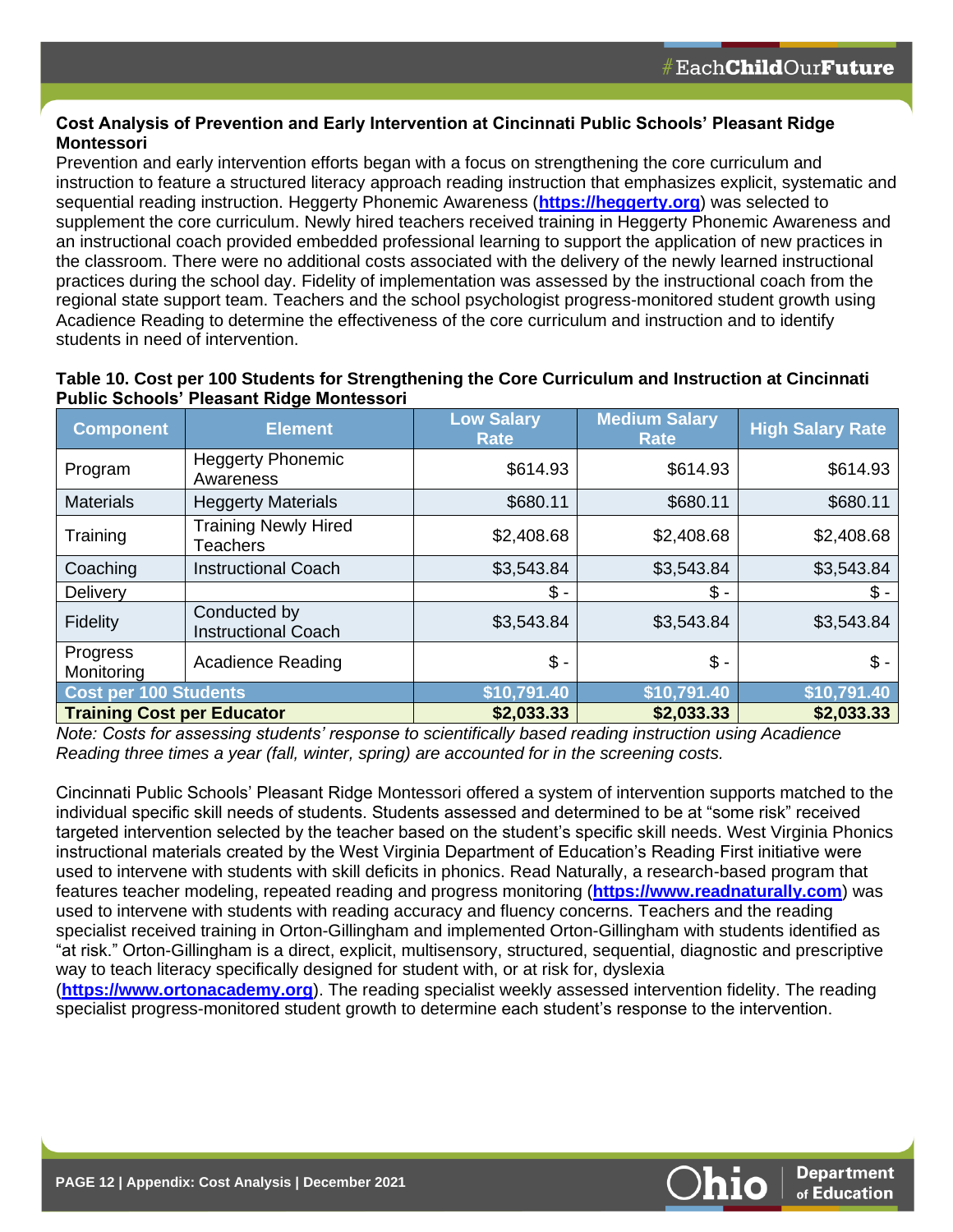### **Cost Analysis of Prevention and Early Intervention at Cincinnati Public Schools' Pleasant Ridge Montessori**

Prevention and early intervention efforts began with a focus on strengthening the core curriculum and instruction to feature a structured literacy approach reading instruction that emphasizes explicit, systematic and sequential reading instruction. Heggerty Phonemic Awareness (**[https://heggerty.org](https://heggerty.org/)**) was selected to supplement the core curriculum. Newly hired teachers received training in Heggerty Phonemic Awareness and an instructional coach provided embedded professional learning to support the application of new practices in the classroom. There were no additional costs associated with the delivery of the newly learned instructional practices during the school day. Fidelity of implementation was assessed by the instructional coach from the regional state support team. Teachers and the school psychologist progress-monitored student growth using Acadience Reading to determine the effectiveness of the core curriculum and instruction and to identify students in need of intervention.

| <b>Component</b>                  | <b>Element</b>                             | <b>Low Salary</b><br><b>Rate</b> | <b>Medium Salary</b><br>Rate | <b>High Salary Rate</b> |
|-----------------------------------|--------------------------------------------|----------------------------------|------------------------------|-------------------------|
| Program                           | <b>Heggerty Phonemic</b><br>Awareness      | \$614.93                         | \$614.93                     | \$614.93                |
| <b>Materials</b>                  | <b>Heggerty Materials</b>                  | \$680.11                         | \$680.11                     | \$680.11                |
| Training                          | <b>Training Newly Hired</b><br>Teachers    | \$2,408.68                       | \$2,408.68                   | \$2,408.68              |
| Coaching                          | <b>Instructional Coach</b>                 | \$3,543.84                       | \$3,543.84                   | \$3,543.84              |
| Delivery                          |                                            | \$ -                             | $$ -$                        | $$ -$                   |
| Fidelity                          | Conducted by<br><b>Instructional Coach</b> | \$3,543.84                       | \$3,543.84                   | \$3,543.84              |
| Progress<br>Monitoring            | <b>Acadience Reading</b>                   | $$ -$                            | $$ -$                        | $$ -$                   |
| <b>Cost per 100 Students</b>      |                                            | \$10,791.40                      | \$10,791.40                  | \$10,791.40             |
| <b>Training Cost per Educator</b> |                                            | \$2,033.33                       | \$2,033.33                   | \$2,033.33              |

# **Table 10. Cost per 100 Students for Strengthening the Core Curriculum and Instruction at Cincinnati Public Schools' Pleasant Ridge Montessori**

*Note: Costs for assessing students' response to scientifically based reading instruction using Acadience Reading three times a year (fall, winter, spring) are accounted for in the screening costs.* 

Cincinnati Public Schools' Pleasant Ridge Montessori offered a system of intervention supports matched to the individual specific skill needs of students. Students assessed and determined to be at "some risk" received targeted intervention selected by the teacher based on the student's specific skill needs. West Virginia Phonics instructional materials created by the West Virginia Department of Education's Reading First initiative were used to intervene with students with skill deficits in phonics. Read Naturally, a research-based program that features teacher modeling, repeated reading and progress monitoring (**[https://www.readnaturally.com](https://www.readnaturally.com/)**) was used to intervene with students with reading accuracy and fluency concerns. Teachers and the reading specialist received training in Orton-Gillingham and implemented Orton-Gillingham with students identified as "at risk." Orton-Gillingham is a direct, explicit, multisensory, structured, sequential, diagnostic and prescriptive way to teach literacy specifically designed for student with, or at risk for, dyslexia

(**[https://www.ortonacademy.org](https://www.ortonacademy.org/)**). The reading specialist weekly assessed intervention fidelity. The reading specialist progress-monitored student growth to determine each student's response to the intervention.

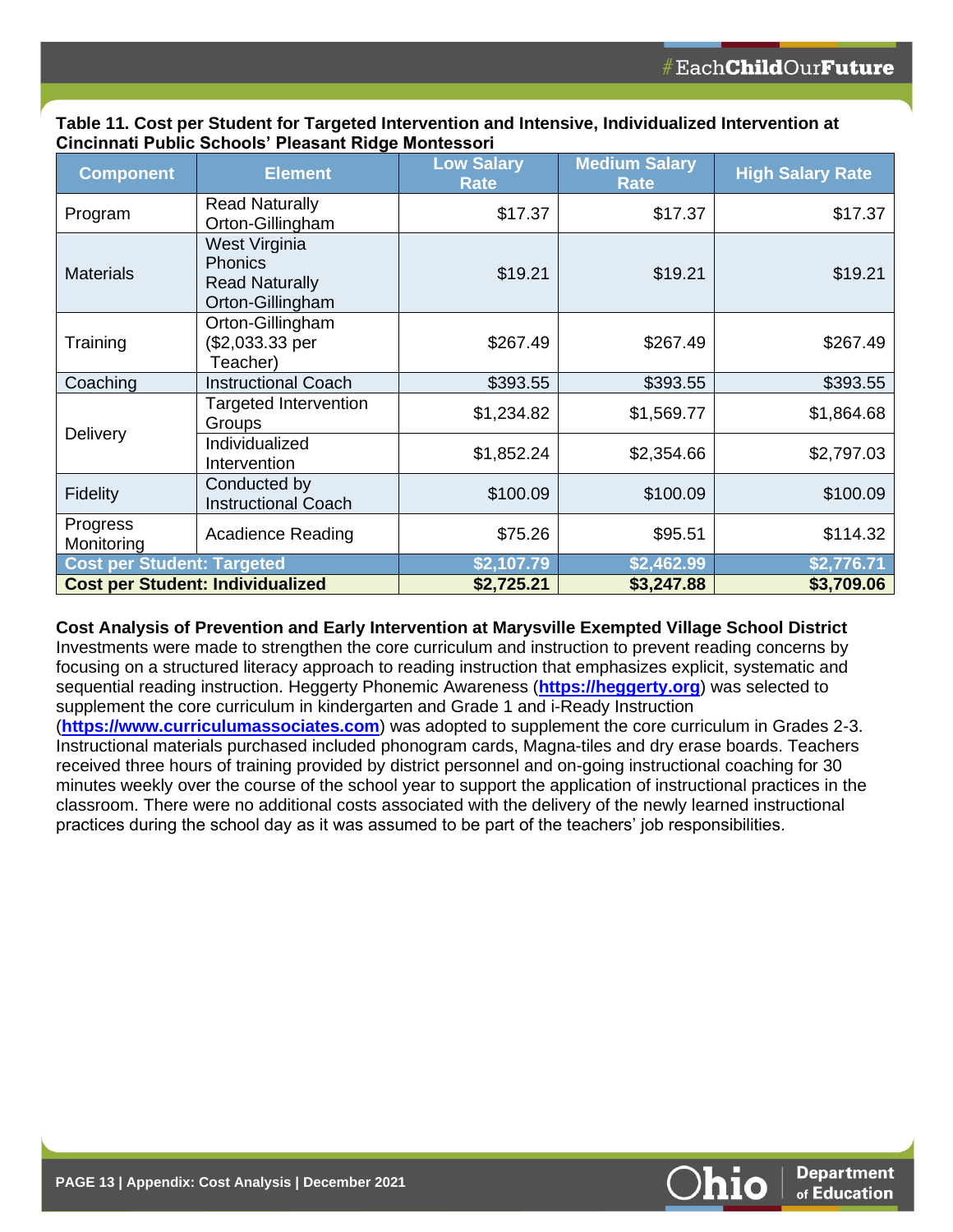| Table 11. Cost per Student for Targeted Intervention and Intensive, Individualized Intervention at |  |
|----------------------------------------------------------------------------------------------------|--|
| Cincinnati Public Schools' Pleasant Ridge Montessori                                               |  |

| <b>Component</b>                        | <b>Element</b>                                                        | <b>Low Salary</b><br><b>Rate</b> | <b>Medium Salary</b><br><b>Rate</b> | <b>High Salary Rate</b> |
|-----------------------------------------|-----------------------------------------------------------------------|----------------------------------|-------------------------------------|-------------------------|
| Program                                 | <b>Read Naturally</b><br>Orton-Gillingham                             | \$17.37                          | \$17.37                             | \$17.37                 |
| <b>Materials</b>                        | West Virginia<br>Phonics<br><b>Read Naturally</b><br>Orton-Gillingham | \$19.21                          | \$19.21                             | \$19.21                 |
| Training                                | Orton-Gillingham<br>(\$2,033.33 per<br>Teacher)                       | \$267.49                         | \$267.49                            | \$267.49                |
| Coaching                                | <b>Instructional Coach</b>                                            | \$393.55                         | \$393.55                            | \$393.55                |
| Delivery                                | <b>Targeted Intervention</b><br>Groups                                | \$1,234.82                       | \$1,569.77                          | \$1,864.68              |
|                                         | Individualized<br>Intervention                                        | \$1,852.24                       | \$2,354.66                          | \$2,797.03              |
| Fidelity                                | Conducted by<br><b>Instructional Coach</b>                            | \$100.09                         | \$100.09                            | \$100.09                |
| Progress<br>Monitoring                  | <b>Acadience Reading</b>                                              | \$75.26                          | \$95.51                             | \$114.32                |
| <b>Cost per Student: Targeted</b>       |                                                                       | \$2,107.79                       | \$2,462.99                          | \$2,776.71              |
| <b>Cost per Student: Individualized</b> |                                                                       | \$2,725.21                       | \$3,247.88                          | \$3,709.06              |

#### **Cost Analysis of Prevention and Early Intervention at Marysville Exempted Village School District**

Investments were made to strengthen the core curriculum and instruction to prevent reading concerns by focusing on a structured literacy approach to reading instruction that emphasizes explicit, systematic and sequential reading instruction. Heggerty Phonemic Awareness (**[https://heggerty.org](https://heggerty.org/)**) was selected to supplement the core curriculum in kindergarten and Grade 1 and i-Ready Instruction

(**[https://www.curriculumassociates.com](https://www.curriculumassociates.com/)**) was adopted to supplement the core curriculum in Grades 2-3. Instructional materials purchased included phonogram cards, Magna-tiles and dry erase boards. Teachers received three hours of training provided by district personnel and on-going instructional coaching for 30 minutes weekly over the course of the school year to support the application of instructional practices in the classroom. There were no additional costs associated with the delivery of the newly learned instructional practices during the school day as it was assumed to be part of the teachers' job responsibilities.

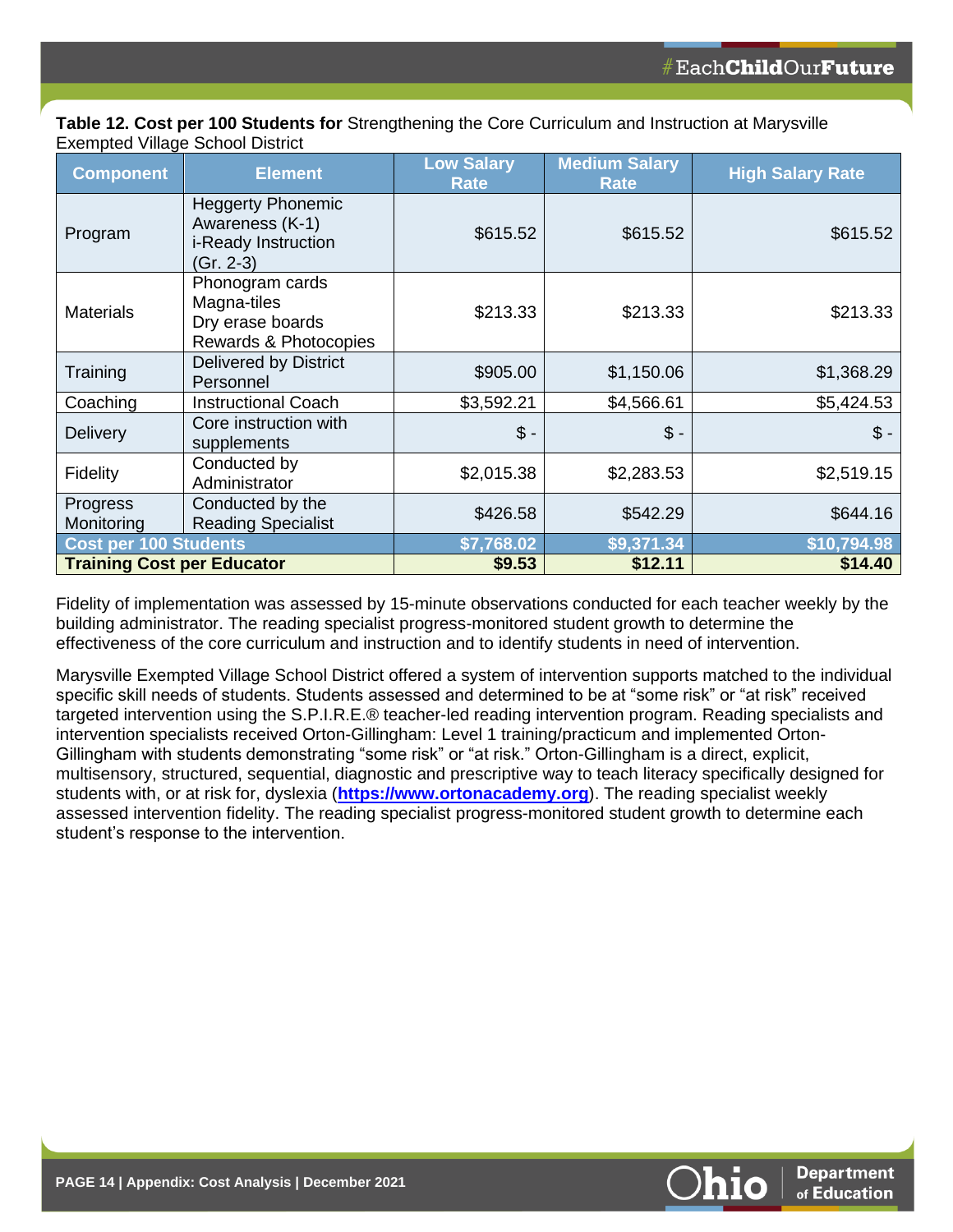|                                  | Table 12. Cost per 100 Students for Strengthening the Core Curriculum and Instruction at Marysville |
|----------------------------------|-----------------------------------------------------------------------------------------------------|
| Exempted Village School District |                                                                                                     |

| <b>Component</b>                  | <b>Element</b>                                                                   | <b>Low Salary</b><br><b>Rate</b> | <b>Medium Salary</b><br><b>Rate</b> | <b>High Salary Rate</b> |
|-----------------------------------|----------------------------------------------------------------------------------|----------------------------------|-------------------------------------|-------------------------|
| Program                           | <b>Heggerty Phonemic</b><br>Awareness (K-1)<br>i-Ready Instruction<br>$Gr. 2-3)$ | \$615.52                         | \$615.52                            | \$615.52                |
| <b>Materials</b>                  | Phonogram cards<br>Magna-tiles<br>Dry erase boards<br>Rewards & Photocopies      | \$213.33                         | \$213.33                            | \$213.33                |
| Training                          | <b>Delivered by District</b><br>Personnel                                        | \$905.00                         | \$1,150.06                          | \$1,368.29              |
| Coaching                          | <b>Instructional Coach</b>                                                       | \$3,592.21                       | \$4,566.61                          | \$5,424.53              |
| <b>Delivery</b>                   | Core instruction with<br>supplements                                             | $$ -$                            | $\mathsf{\$}$ -                     | $\mathcal{S}$ -         |
| Fidelity                          | Conducted by<br>Administrator                                                    | \$2,015.38                       | \$2,283.53                          | \$2,519.15              |
| Progress<br>Monitoring            | Conducted by the<br><b>Reading Specialist</b>                                    | \$426.58                         | \$542.29                            | \$644.16                |
| <b>Cost per 100 Students</b>      |                                                                                  | \$7,768.02                       | \$9,371.34                          | \$10,794.98             |
| <b>Training Cost per Educator</b> |                                                                                  | \$9.53                           | \$12.11                             | \$14.40                 |

Fidelity of implementation was assessed by 15-minute observations conducted for each teacher weekly by the building administrator. The reading specialist progress-monitored student growth to determine the effectiveness of the core curriculum and instruction and to identify students in need of intervention.

Marysville Exempted Village School District offered a system of intervention supports matched to the individual specific skill needs of students. Students assessed and determined to be at "some risk" or "at risk" received targeted intervention using the S.P.I.R.E.® teacher-led reading intervention program. Reading specialists and intervention specialists received Orton-Gillingham: Level 1 training/practicum and implemented Orton-Gillingham with students demonstrating "some risk" or "at risk." Orton-Gillingham is a direct, explicit, multisensory, structured, sequential, diagnostic and prescriptive way to teach literacy specifically designed for students with, or at risk for, dyslexia (**[https://www.ortonacademy.org](https://www.ortonacademy.org/)**). The reading specialist weekly assessed intervention fidelity. The reading specialist progress-monitored student growth to determine each student's response to the intervention.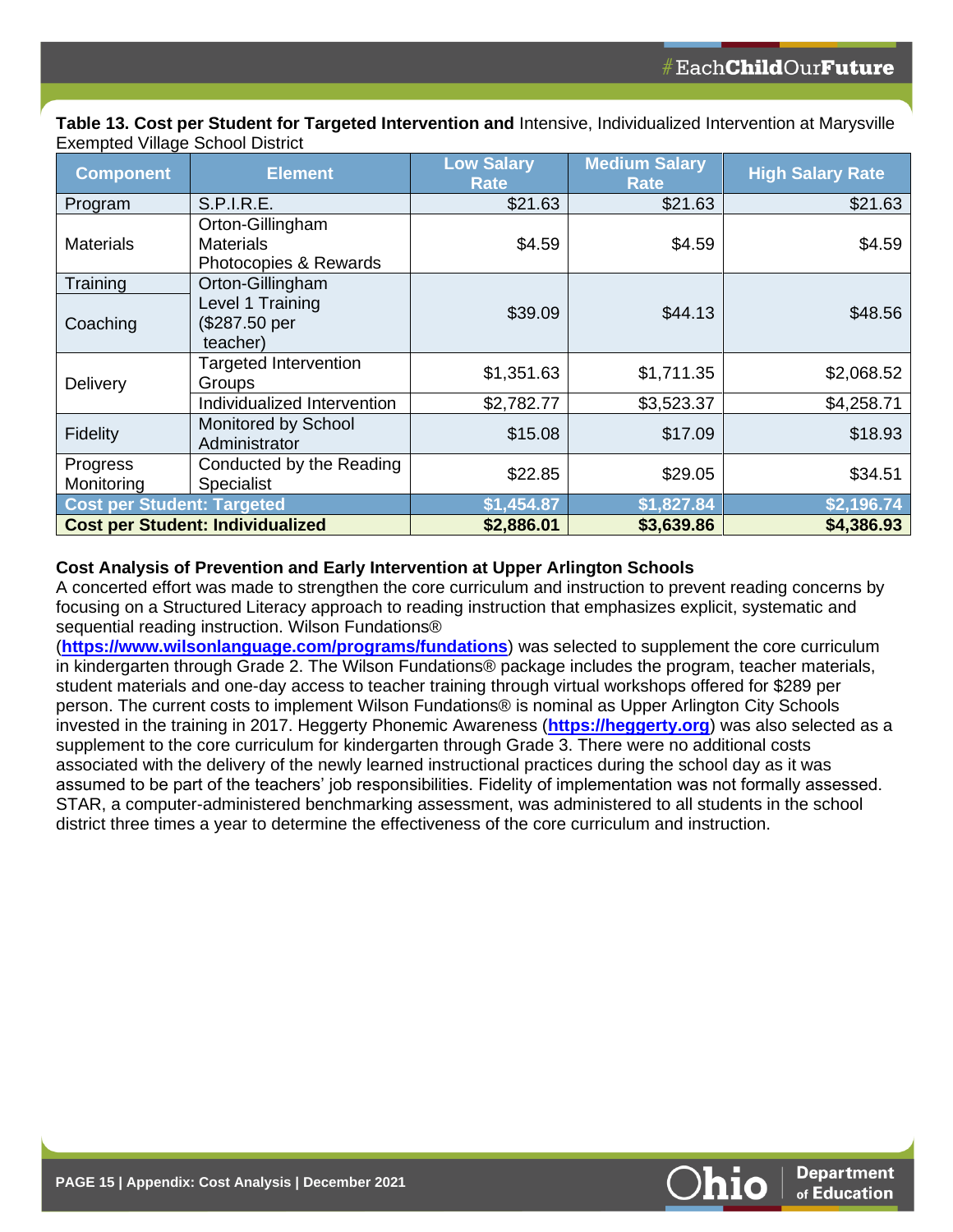**Table 13. Cost per Student for Targeted Intervention and** Intensive, Individualized Intervention at Marysville Exempted Village School District

| <b>Component</b>                        | <b>Element</b>                                                | <b>Low Salary</b><br><b>Rate</b> | <b>Medium Salary</b><br><b>Rate</b> | <b>High Salary Rate</b> |
|-----------------------------------------|---------------------------------------------------------------|----------------------------------|-------------------------------------|-------------------------|
| Program                                 | <b>S.P.I.R.E.</b>                                             | \$21.63                          | \$21.63                             | \$21.63                 |
| <b>Materials</b>                        | Orton-Gillingham<br><b>Materials</b><br>Photocopies & Rewards | \$4.59                           | \$4.59                              | \$4.59                  |
| Training                                | Orton-Gillingham                                              |                                  |                                     |                         |
| Coaching                                | Level 1 Training<br>(\$287.50 per<br>teacher)                 | \$39.09                          | \$44.13                             | \$48.56                 |
| Delivery                                | <b>Targeted Intervention</b><br>Groups                        | \$1,351.63                       | \$1,711.35                          | \$2,068.52              |
|                                         | Individualized Intervention                                   | \$2,782.77                       | \$3,523.37                          | \$4,258.71              |
| Fidelity                                | Monitored by School<br>Administrator                          | \$15.08                          | \$17.09                             | \$18.93                 |
| Progress<br>Monitoring                  | Conducted by the Reading<br><b>Specialist</b>                 | \$22.85                          | \$29.05                             | \$34.51                 |
| <b>Cost per Student: Targeted</b>       |                                                               | \$1,454.87                       | \$1,827.84                          | \$2,196.74              |
| <b>Cost per Student: Individualized</b> |                                                               | \$2,886.01                       | \$3,639.86                          | \$4,386.93              |

#### **Cost Analysis of Prevention and Early Intervention at Upper Arlington Schools**

A concerted effort was made to strengthen the core curriculum and instruction to prevent reading concerns by focusing on a Structured Literacy approach to reading instruction that emphasizes explicit, systematic and sequential reading instruction. Wilson Fundations®

(**<https://www.wilsonlanguage.com/programs/fundations>**) was selected to supplement the core curriculum in kindergarten through Grade 2. The Wilson Fundations® package includes the program, teacher materials, student materials and one-day access to teacher training through virtual workshops offered for \$289 per person. The current costs to implement Wilson Fundations® is nominal as Upper Arlington City Schools invested in the training in 2017. Heggerty Phonemic Awareness (**[https://heggerty.org](https://heggerty.org/)**) was also selected as a supplement to the core curriculum for kindergarten through Grade 3. There were no additional costs associated with the delivery of the newly learned instructional practices during the school day as it was assumed to be part of the teachers' job responsibilities. Fidelity of implementation was not formally assessed. STAR, a computer-administered benchmarking assessment, was administered to all students in the school district three times a year to determine the effectiveness of the core curriculum and instruction.

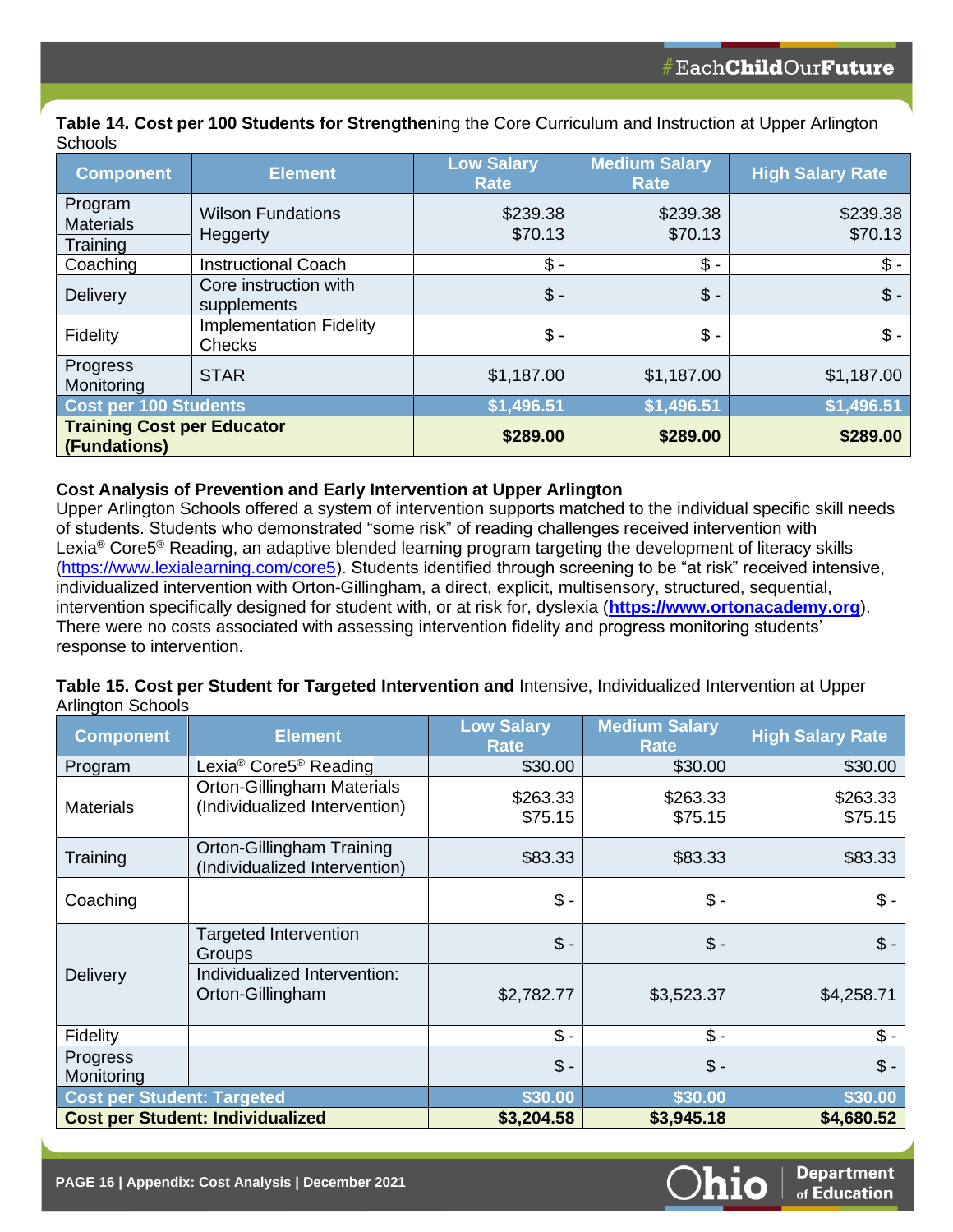**Table 14. Cost per 100 Students for Strengthen**ing the Core Curriculum and Instruction at Upper Arlington **Schools** 

| <b>Component</b>                                  | <b>Element</b>                           | <b>Low Salary</b><br><b>Rate</b> | <b>Medium Salary</b><br><b>Rate</b> | <b>High Salary Rate</b> |  |
|---------------------------------------------------|------------------------------------------|----------------------------------|-------------------------------------|-------------------------|--|
| Program<br><b>Materials</b><br>Training           | <b>Wilson Fundations</b><br>Heggerty     | \$239.38<br>\$70.13              | \$239.38<br>\$70.13                 | \$239.38<br>\$70.13     |  |
| Coaching                                          | <b>Instructional Coach</b>               | \$ -                             | $$ -$                               | $$ -$                   |  |
| <b>Delivery</b>                                   | Core instruction with<br>supplements     | $$ -$                            | $\mathsf{\$}$ -                     | $\mathsf{\$}$ -         |  |
| Fidelity                                          | <b>Implementation Fidelity</b><br>Checks | $$ -$                            | $$ -$                               | $\mathbb{S}$ -          |  |
| Progress<br>Monitoring                            | <b>STAR</b>                              | \$1,187.00                       | \$1,187.00                          | \$1,187.00              |  |
| Cost per 100 Students                             |                                          | \$1,496.51                       | \$1,496.51                          | \$1,496.51              |  |
| <b>Training Cost per Educator</b><br>(Fundations) |                                          | \$289.00                         | \$289.00                            | \$289.00                |  |

#### **Cost Analysis of Prevention and Early Intervention at Upper Arlington**

Upper Arlington Schools offered a system of intervention supports matched to the individual specific skill needs of students. Students who demonstrated "some risk" of reading challenges received intervention with Lexia<sup>®</sup> Core5<sup>®</sup> Reading, an adaptive blended learning program targeting the development of literacy skills [\(https://www.lexialearning.com/core5\)](https://www.lexialearning.com/core5). Students identified through screening to be "at risk" received intensive, individualized intervention with Orton-Gillingham, a direct, explicit, multisensory, structured, sequential, intervention specifically designed for student with, or at risk for, dyslexia (**[https://www.ortonacademy.org](https://www.ortonacademy.org/)**). There were no costs associated with assessing intervention fidelity and progress monitoring students' response to intervention.

### **Table 15. Cost per Student for Targeted Intervention and** Intensive, Individualized Intervention at Upper Arlington Schools

| <b>Component</b>                        | <b>Element</b>                                                     | <b>Low Salary</b><br><b>Rate</b> | <b>Medium Salary</b><br><b>Rate</b> | <b>High Salary Rate</b> |
|-----------------------------------------|--------------------------------------------------------------------|----------------------------------|-------------------------------------|-------------------------|
| Program                                 | Lexia® Core5® Reading                                              | \$30.00                          | \$30.00                             | \$30.00                 |
| <b>Materials</b>                        | <b>Orton-Gillingham Materials</b><br>(Individualized Intervention) | \$263.33<br>\$75.15              | \$263.33<br>\$75.15                 | \$263.33<br>\$75.15     |
| Training                                | Orton-Gillingham Training<br>(Individualized Intervention)         | \$83.33                          | \$83.33                             | \$83.33                 |
| Coaching                                |                                                                    | $$ -$                            | $$ -$                               | $\$\$ -                 |
| <b>Delivery</b>                         | <b>Targeted Intervention</b><br>Groups                             | $$ -$                            | $$ -$                               | $\mathsf{\$}$ -         |
|                                         | Individualized Intervention:<br>Orton-Gillingham                   | \$2,782.77                       | \$3,523.37                          | \$4,258.71              |
| Fidelity                                |                                                                    | $$ -$                            | $$ -$                               | $$ -$                   |
| Progress<br>Monitoring                  |                                                                    | $$ -$                            | $$ -$                               | $$ -$                   |
| <b>Cost per Student: Targeted</b>       |                                                                    | \$30.00                          | \$30.00                             | \$30.00                 |
| <b>Cost per Student: Individualized</b> |                                                                    | \$3,204.58                       | \$3,945.18                          | \$4,680.52              |

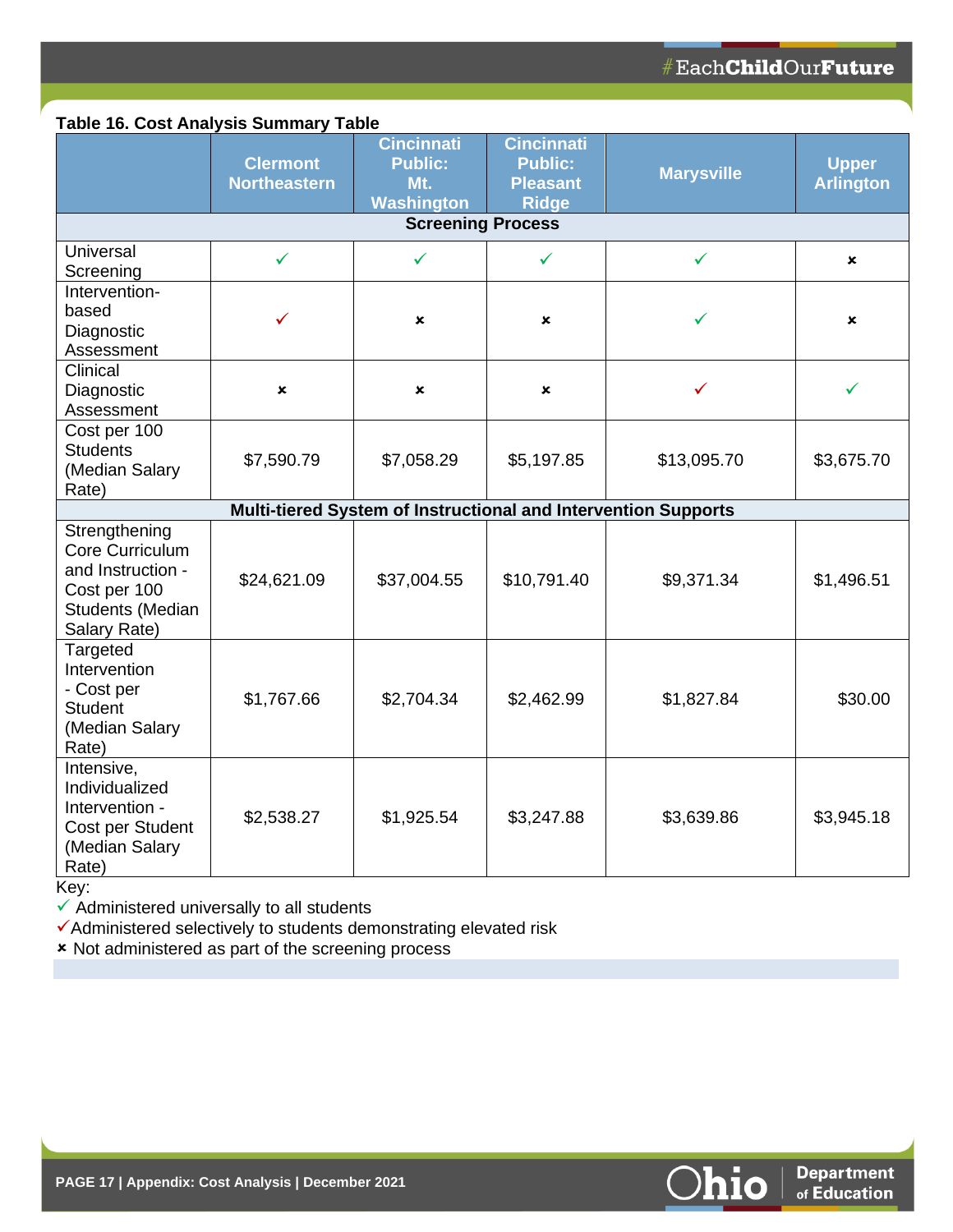# **Table 16. Cost Analysis Summary Table**

|                                                                                                           | <b>Clermont</b><br><b>Northeastern</b> | <b>Cincinnati</b><br><b>Public:</b><br>Mt.<br><b>Washington</b> | <b>Cincinnati</b><br><b>Public:</b><br><b>Pleasant</b><br><b>Ridge</b> | <b>Marysville</b> | <b>Upper</b><br><b>Arlington</b> |
|-----------------------------------------------------------------------------------------------------------|----------------------------------------|-----------------------------------------------------------------|------------------------------------------------------------------------|-------------------|----------------------------------|
|                                                                                                           |                                        | <b>Screening Process</b>                                        |                                                                        |                   |                                  |
| Universal<br>Screening                                                                                    | ✓                                      | ✓                                                               | ✓                                                                      | $\checkmark$      | ×                                |
| Intervention-<br>based<br>Diagnostic<br>Assessment                                                        | ✓                                      | ×                                                               | $\boldsymbol{\mathsf{x}}$                                              | ✓                 | ×                                |
| Clinical<br>Diagnostic<br>Assessment                                                                      | ×                                      | $\mathbf x$                                                     | ×                                                                      | ✓                 |                                  |
| Cost per 100<br><b>Students</b><br>(Median Salary<br>Rate)                                                | \$7,590.79                             | \$7,058.29                                                      | \$5,197.85                                                             | \$13,095.70       | \$3,675.70                       |
|                                                                                                           |                                        | Multi-tiered System of Instructional and Intervention Supports  |                                                                        |                   |                                  |
| Strengthening<br>Core Curriculum<br>and Instruction -<br>Cost per 100<br>Students (Median<br>Salary Rate) | \$24,621.09                            | \$37,004.55                                                     | \$10,791.40                                                            | \$9,371.34        | \$1,496.51                       |
| Targeted<br>Intervention<br>- Cost per<br><b>Student</b><br>(Median Salary<br>Rate)                       | \$1,767.66                             | \$2,704.34                                                      | \$2,462.99                                                             | \$1,827.84        | \$30.00                          |
| Intensive,<br>Individualized<br>Intervention -<br>Cost per Student<br>(Median Salary<br>Rate)             | \$2,538.27                             | \$1,925.54                                                      | \$3,247.88                                                             | \$3,639.86        | \$3,945.18                       |

Key:

 $\checkmark$  Administered universally to all students

✓Administered selectively to students demonstrating elevated risk

**\*** Not administered as part of the screening process

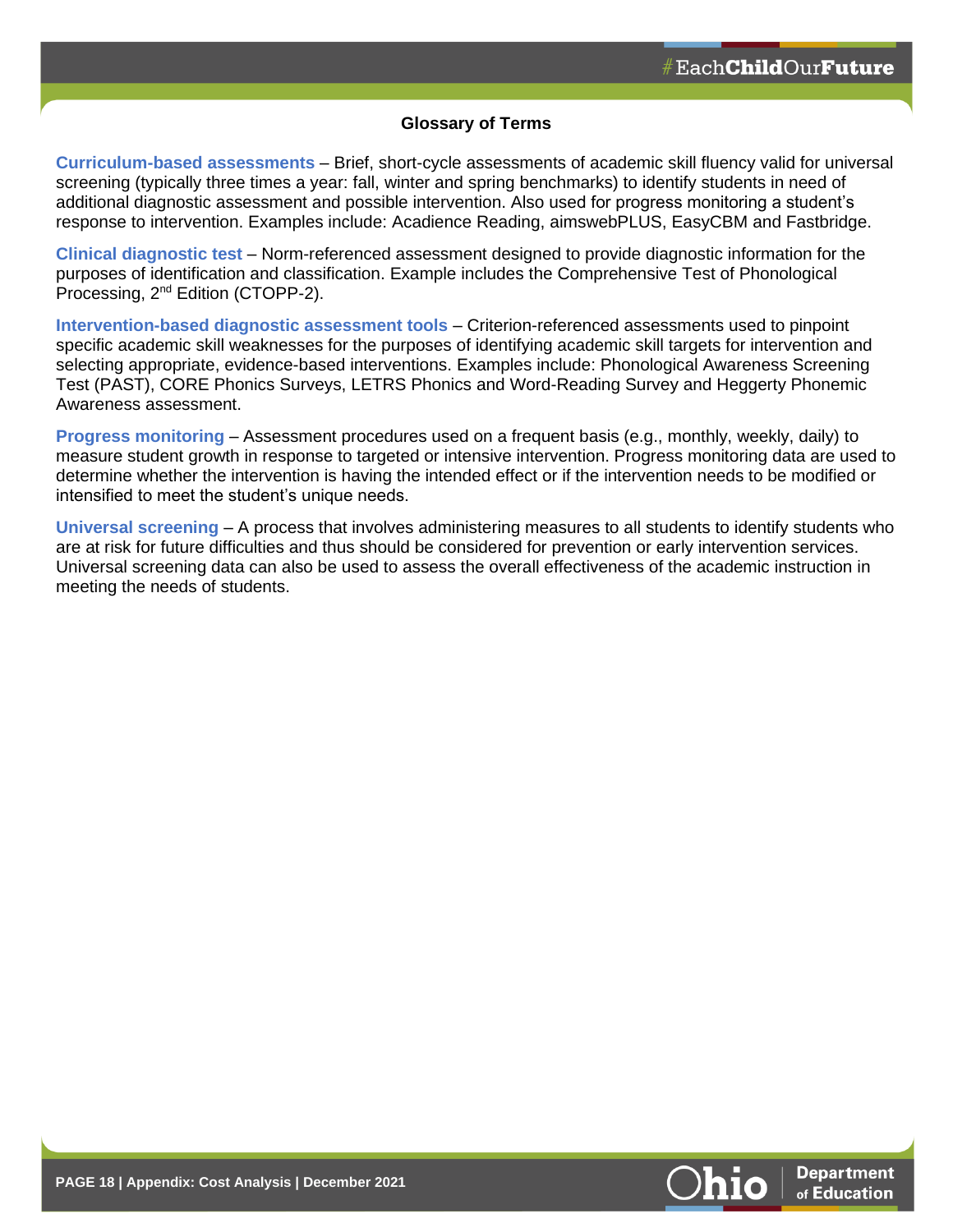#### **Glossary of Terms**

**Curriculum-based assessments** – Brief, short-cycle assessments of academic skill fluency valid for universal screening (typically three times a year: fall, winter and spring benchmarks) to identify students in need of additional diagnostic assessment and possible intervention. Also used for progress monitoring a student's response to intervention. Examples include: Acadience Reading, aimswebPLUS, EasyCBM and Fastbridge.

**Clinical diagnostic test** – Norm-referenced assessment designed to provide diagnostic information for the purposes of identification and classification. Example includes the Comprehensive Test of Phonological Processing, 2nd Edition (CTOPP-2).

**Intervention-based diagnostic assessment tools** – Criterion-referenced assessments used to pinpoint specific academic skill weaknesses for the purposes of identifying academic skill targets for intervention and selecting appropriate, evidence-based interventions. Examples include: Phonological Awareness Screening Test (PAST), CORE Phonics Surveys, LETRS Phonics and Word-Reading Survey and Heggerty Phonemic Awareness assessment.

**Progress monitoring** – Assessment procedures used on a frequent basis (e.g., monthly, weekly, daily) to measure student growth in response to targeted or intensive intervention. Progress monitoring data are used to determine whether the intervention is having the intended effect or if the intervention needs to be modified or intensified to meet the student's unique needs.

**Universal screening** – A process that involves administering measures to all students to identify students who are at risk for future difficulties and thus should be considered for prevention or early intervention services. Universal screening data can also be used to assess the overall effectiveness of the academic instruction in meeting the needs of students.